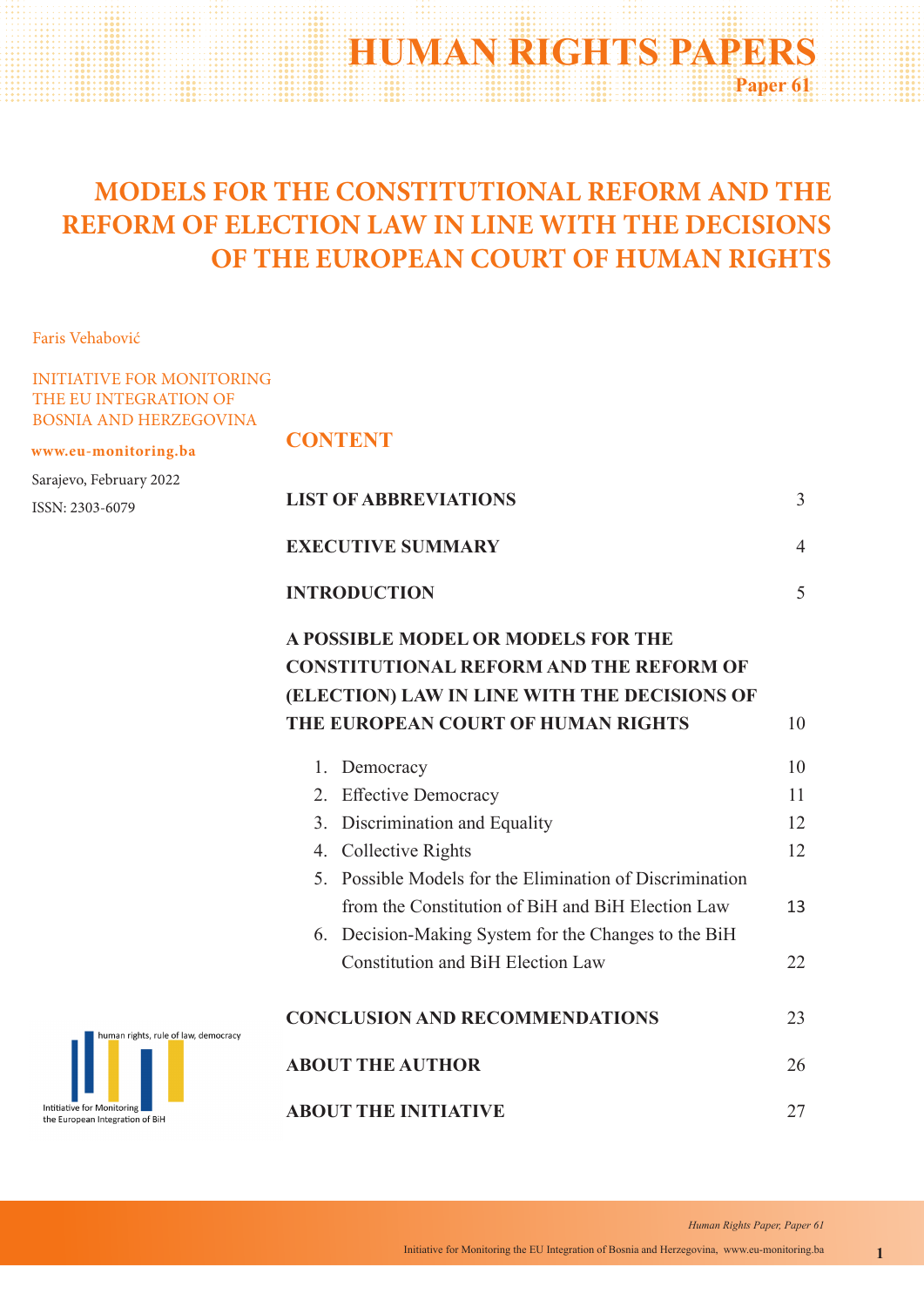# **HUMAN RIGHTS PAPERS Paper 61**

# **MODELS FOR THE CONSTITUTIONAL REFORM AND THE REFORM OF ELECTION LAW IN LINE WITH THE DECISIONS OF THE EUROPEAN COURT OF HUMAN RIGHTS**

Faris Vehabović

## INITIATIVE FOR MONITORING THE EU INTEGRATION OF BOSNIA AND HERZEGOVINA

**www.eu-monitoring.ba**

Sarajevo, February 2022 ISSN: 2303-6079

# **CONTENT**

|           | <b>LIST OF ABBREVIATIONS</b>                                                                                                                                          | $\overline{3}$ |
|-----------|-----------------------------------------------------------------------------------------------------------------------------------------------------------------------|----------------|
|           | <b>EXECUTIVE SUMMARY</b>                                                                                                                                              | $\overline{4}$ |
|           | <b>INTRODUCTION</b>                                                                                                                                                   | 5              |
|           | A POSSIBLE MODEL OR MODELS FOR THE                                                                                                                                    |                |
|           | <b>CONSTITUTIONAL REFORM AND THE REFORM OF</b>                                                                                                                        |                |
|           | (ELECTION) LAW IN LINE WITH THE DECISIONS OF<br>THE EUROPEAN COURT OF HUMAN RIGHTS                                                                                    | 10             |
|           | Democracy<br>1.                                                                                                                                                       | 10             |
|           | 2. Effective Democracy                                                                                                                                                | 11             |
|           | 3. Discrimination and Equality                                                                                                                                        | 12             |
|           | 4. Collective Rights                                                                                                                                                  | 12             |
|           | 5. Possible Models for the Elimination of Discrimination<br>from the Constitution of BiH and BiH Election Law<br>6. Decision-Making System for the Changes to the BiH | 13             |
|           | <b>Constitution and BiH Election Law</b>                                                                                                                              | 22             |
| democracy | <b>CONCLUSION AND RECOMMENDATIONS</b>                                                                                                                                 | 23             |
|           | <b>ABOUT THE AUTHOR</b>                                                                                                                                               | 26             |
|           | <b>ABOUT THE INITIATIVE</b>                                                                                                                                           | 27             |

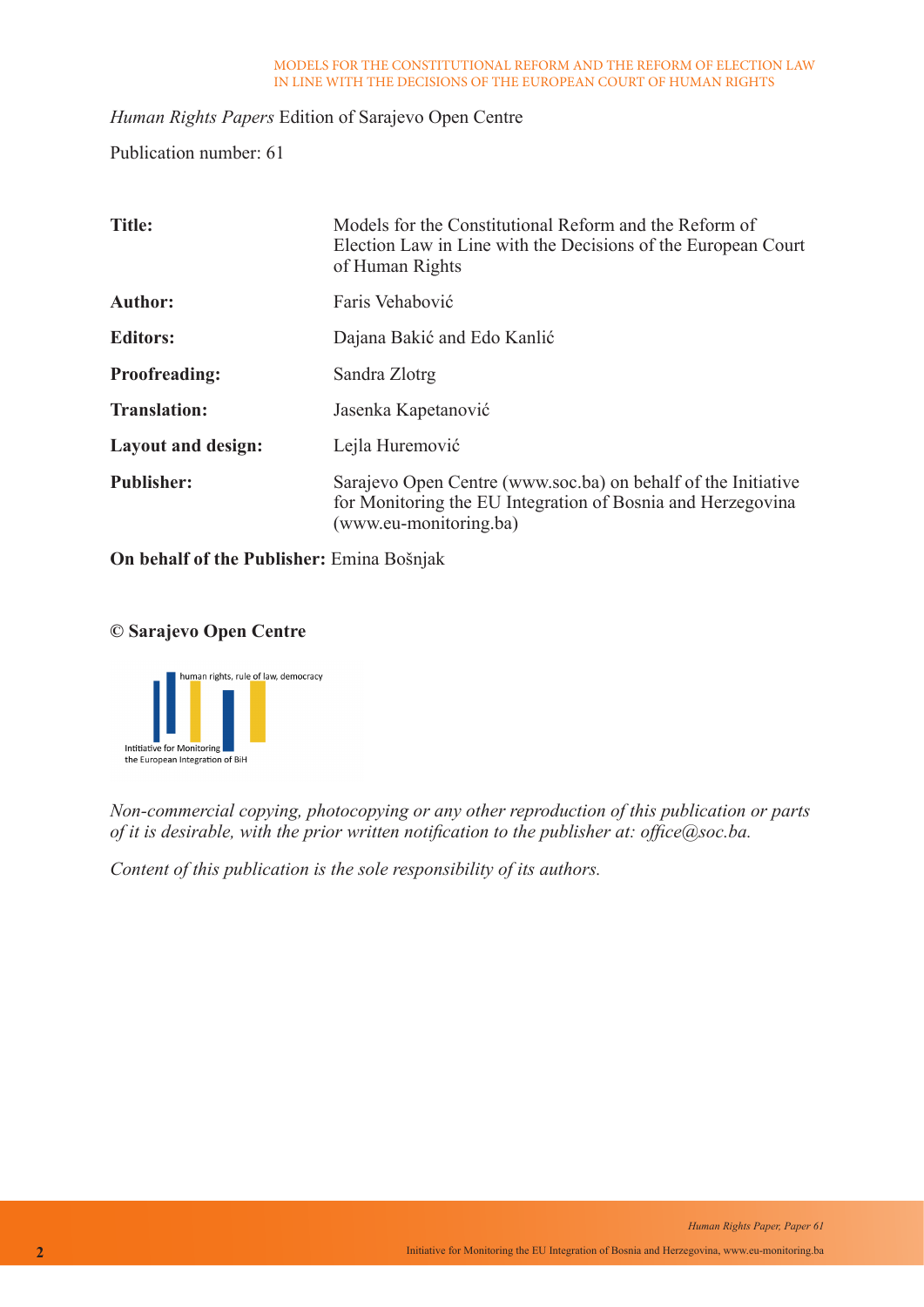## *Human Rights Papers* Edition of Sarajevo Open Centre

Publication number: 61

| <b>Title:</b>             | Models for the Constitutional Reform and the Reform of<br>Election Law in Line with the Decisions of the European Court<br>of Human Rights             |
|---------------------------|--------------------------------------------------------------------------------------------------------------------------------------------------------|
| <b>Author:</b>            | Faris Vehabović                                                                                                                                        |
| <b>Editors:</b>           | Dajana Bakić and Edo Kanlić                                                                                                                            |
| <b>Proofreading:</b>      | Sandra Zlotrg                                                                                                                                          |
| <b>Translation:</b>       | Jasenka Kapetanović                                                                                                                                    |
| <b>Layout and design:</b> | Lejla Huremović                                                                                                                                        |
| <b>Publisher:</b>         | Sarajevo Open Centre (www.soc.ba) on behalf of the Initiative<br>for Monitoring the EU Integration of Bosnia and Herzegovina<br>(www.eu-monitoring.ba) |

**On behalf of the Publisher:** Emina Bošnjak

## **© Sarajevo Open Centre**



*Non-commercial copying, photocopying or any other reproduction of this publication or parts of it is desirable, with the prior written notification to the publisher at: office@soc.ba.*

*Content of this publication is the sole responsibility of its authors.*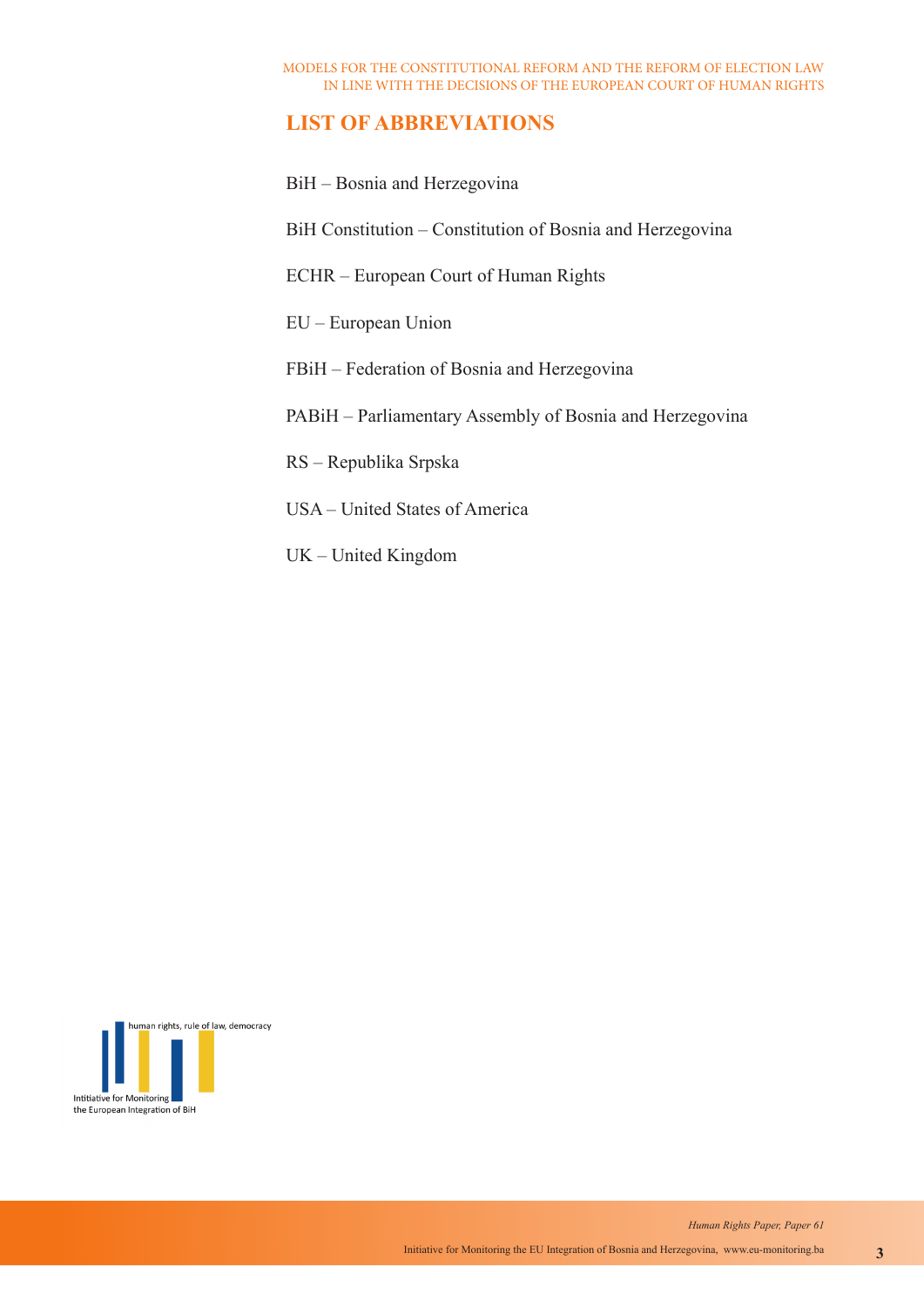# **LIST OF ABBREVIATIONS**

BiH – Bosnia and Herzegovina

BiH Constitution – Constitution of Bosnia and Herzegovina

ECHR – European Court of Human Rights

EU – European Union

FBiH – Federation of Bosnia and Herzegovina

PABiH – Parliamentary Assembly of Bosnia and Herzegovina

RS – Republika Srpska

- USA United States of America
- UK United Kingdom

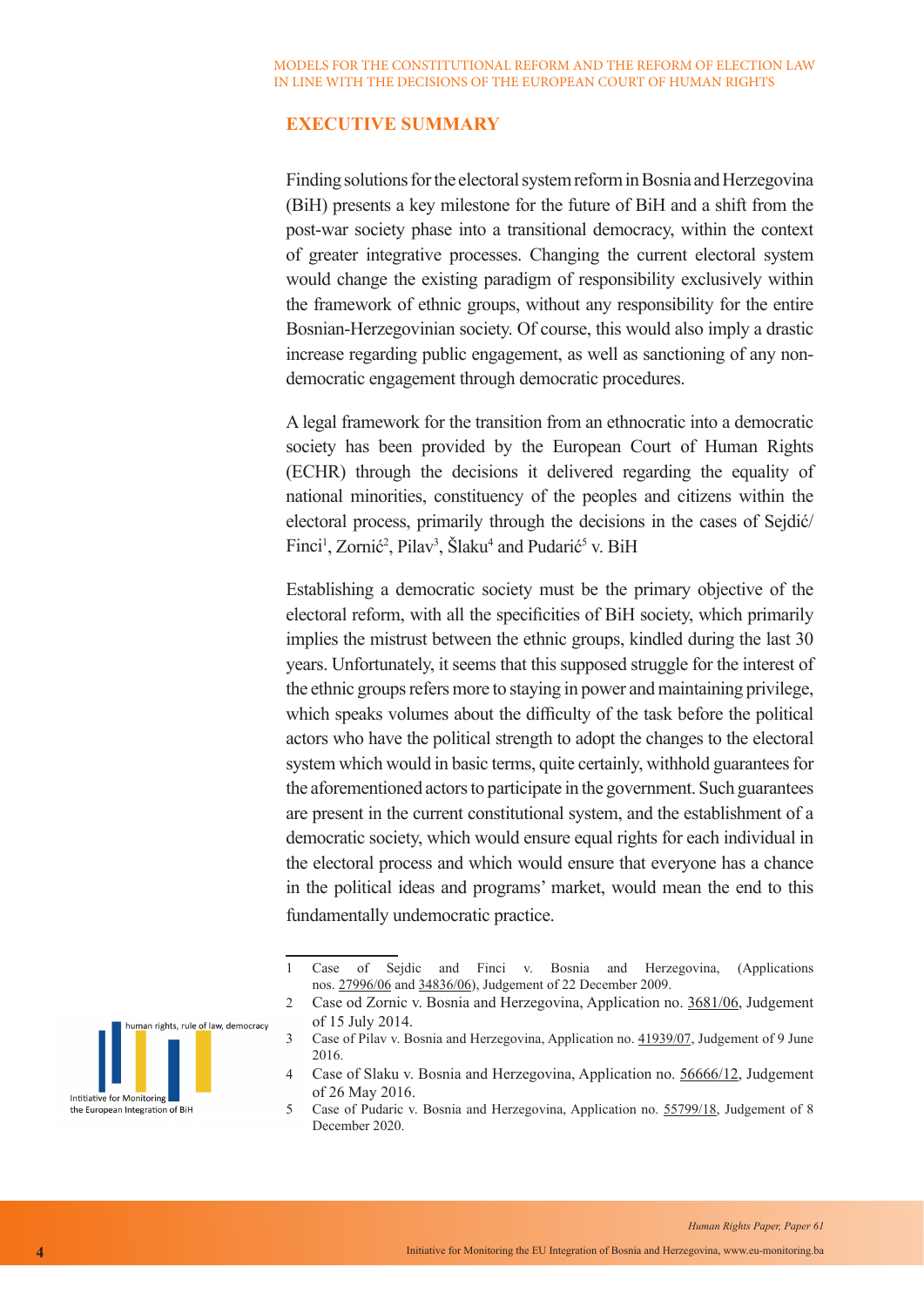# **EXECUTIVE SUMMARY**

Finding solutions for the electoral system reform in Bosnia and Herzegovina (BiH) presents a key milestone for the future of BiH and a shift from the post-war society phase into a transitional democracy, within the context of greater integrative processes. Changing the current electoral system would change the existing paradigm of responsibility exclusively within the framework of ethnic groups, without any responsibility for the entire Bosnian-Herzegovinian society. Of course, this would also imply a drastic increase regarding public engagement, as well as sanctioning of any nondemocratic engagement through democratic procedures.

A legal framework for the transition from an ethnocratic into a democratic society has been provided by the European Court of Human Rights (ECHR) through the decisions it delivered regarding the equality of national minorities, constituency of the peoples and citizens within the electoral process, primarily through the decisions in the cases of Sejdić/ Finci<sup>1</sup>, Zornić<sup>2</sup>, Pilav<sup>3</sup>, Šlaku<sup>4</sup> and Pudarić<sup>5</sup> v. BiH

Establishing a democratic society must be the primary objective of the electoral reform, with all the specificities of BiH society, which primarily implies the mistrust between the ethnic groups, kindled during the last 30 years. Unfortunately, it seems that this supposed struggle for the interest of the ethnic groups refers more to staying in power and maintaining privilege, which speaks volumes about the difficulty of the task before the political actors who have the political strength to adopt the changes to the electoral system which would in basic terms, quite certainly, withhold guarantees for the aforementioned actors to participate in the government. Such guarantees are present in the current constitutional system, and the establishment of a democratic society, which would ensure equal rights for each individual in the electoral process and which would ensure that everyone has a chance in the political ideas and programs' market, would mean the end to this fundamentally undemocratic practice.

<sup>5</sup> Case of Pudaric v. Bosnia and Herzegovina, Application no. 55799/18, Judgement of 8 December 2020.



<sup>1</sup> Case of Sejdic and Finci v. Bosnia and Herzegovina, (Applications nos. 27996/06 and 34836/06), Judgement of 22 December 2009.

<sup>2</sup> Case od Zornic v. Bosnia and Herzegovina, Application no. 3681/06, Judgement of 15 July 2014.

<sup>3</sup> Case of Pilav v. Bosnia and Herzegovina, Application no. 41939/07, Judgement of 9 June 2016.

<sup>4</sup> Case of Slaku v. Bosnia and Herzegovina, Application no. 56666/12, Judgement of 26 May 2016.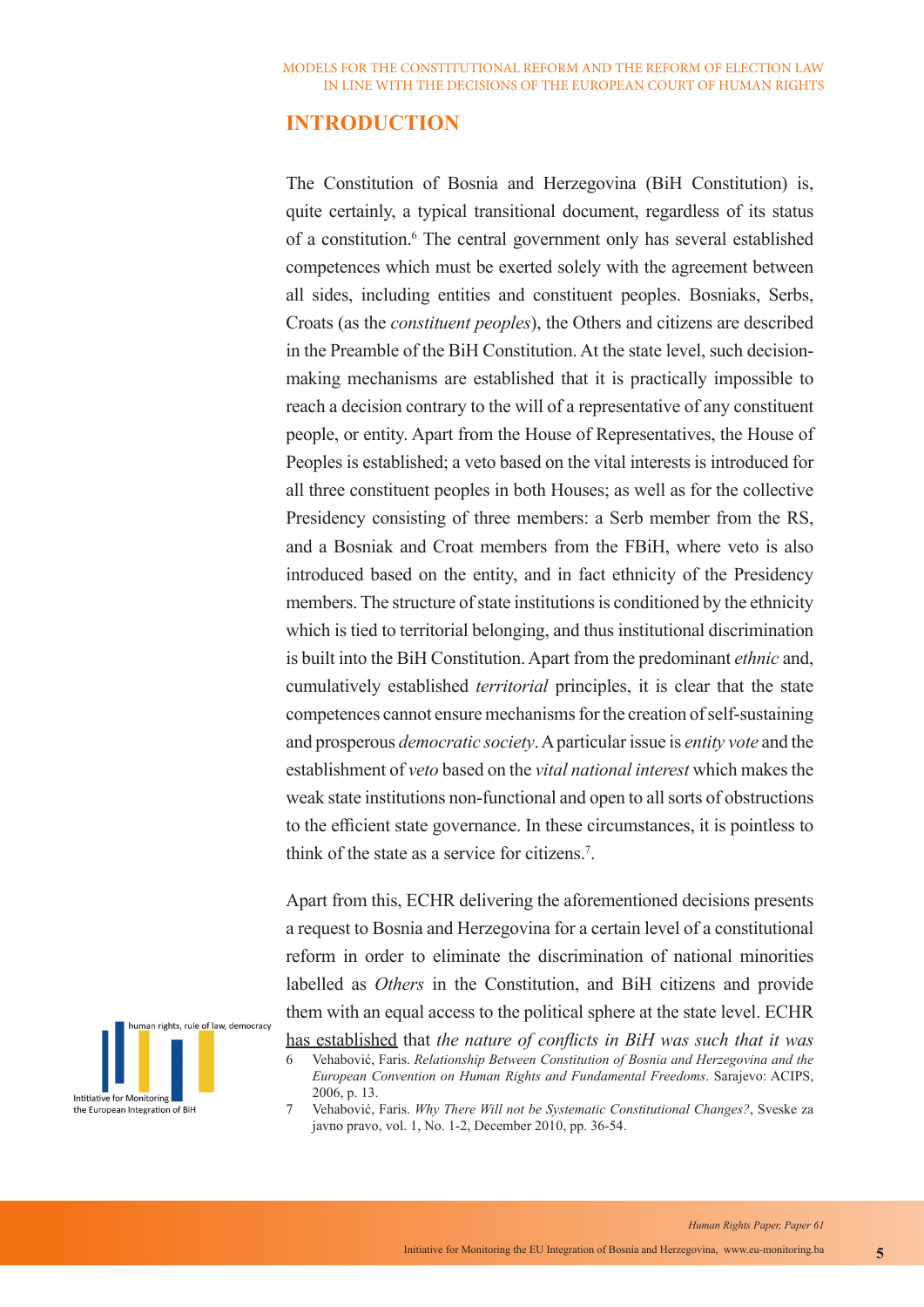# **INTRODUCTION**

The Constitution of Bosnia and Herzegovina (BiH Constitution) is, quite certainly, a typical transitional document, regardless of its status of a constitution.<sup>6</sup> The central government only has several established competences which must be exerted solely with the agreement between all sides, including entities and constituent peoples. Bosniaks, Serbs, Croats (as the *constituent peoples*), the Others and citizens are described in the Preamble of the BiH Constitution. At the state level, such decisionmaking mechanisms are established that it is practically impossible to reach a decision contrary to the will of a representative of any constituent people, or entity. Apart from the House of Representatives, the House of Peoples is established; a veto based on the vital interests is introduced for all three constituent peoples in both Houses; as well as for the collective Presidency consisting of three members: a Serb member from the RS, and a Bosniak and Croat members from the FBiH, where veto is also introduced based on the entity, and in fact ethnicity of the Presidency members. The structure of state institutions is conditioned by the ethnicity which is tied to territorial belonging, and thus institutional discrimination is built into the BiH Constitution. Apart from the predominant *ethnic* and, cumulatively established *territorial* principles, it is clear that the state competences cannot ensure mechanisms for the creation of self-sustaining and prosperous *democratic society*. A particular issue is *entity vote* and the establishment of *veto* based on the *vital national interest* which makes the weak state institutions non-functional and open to all sorts of obstructions to the efficient state governance. In these circumstances, it is pointless to think of the state as a service for citizens.<sup>7</sup>.

Apart from this, ECHR delivering the aforementioned decisions presents a request to Bosnia and Herzegovina for a certain level of a constitutional reform in order to eliminate the discrimination of national minorities labelled as *Others* in the Constitution, and BiH citizens and provide them with an equal access to the political sphere at the state level. ECHR



has established that *the nature of conflicts in BiH was such that it was* 

<sup>6</sup> Vehabović, Faris. *Relationship Between Constitution of Bosnia and Herzegovina and the European Convention on Human Rights and Fundamental Freedoms*. Sarajevo: ACIPS, 2006, p. 13.

<sup>7</sup> Vehabović, Faris. *Why There Will not be Systematic Constitutional Changes?*, Sveske za javno pravo, vol. 1, No. 1-2, December 2010, pp. 36-54.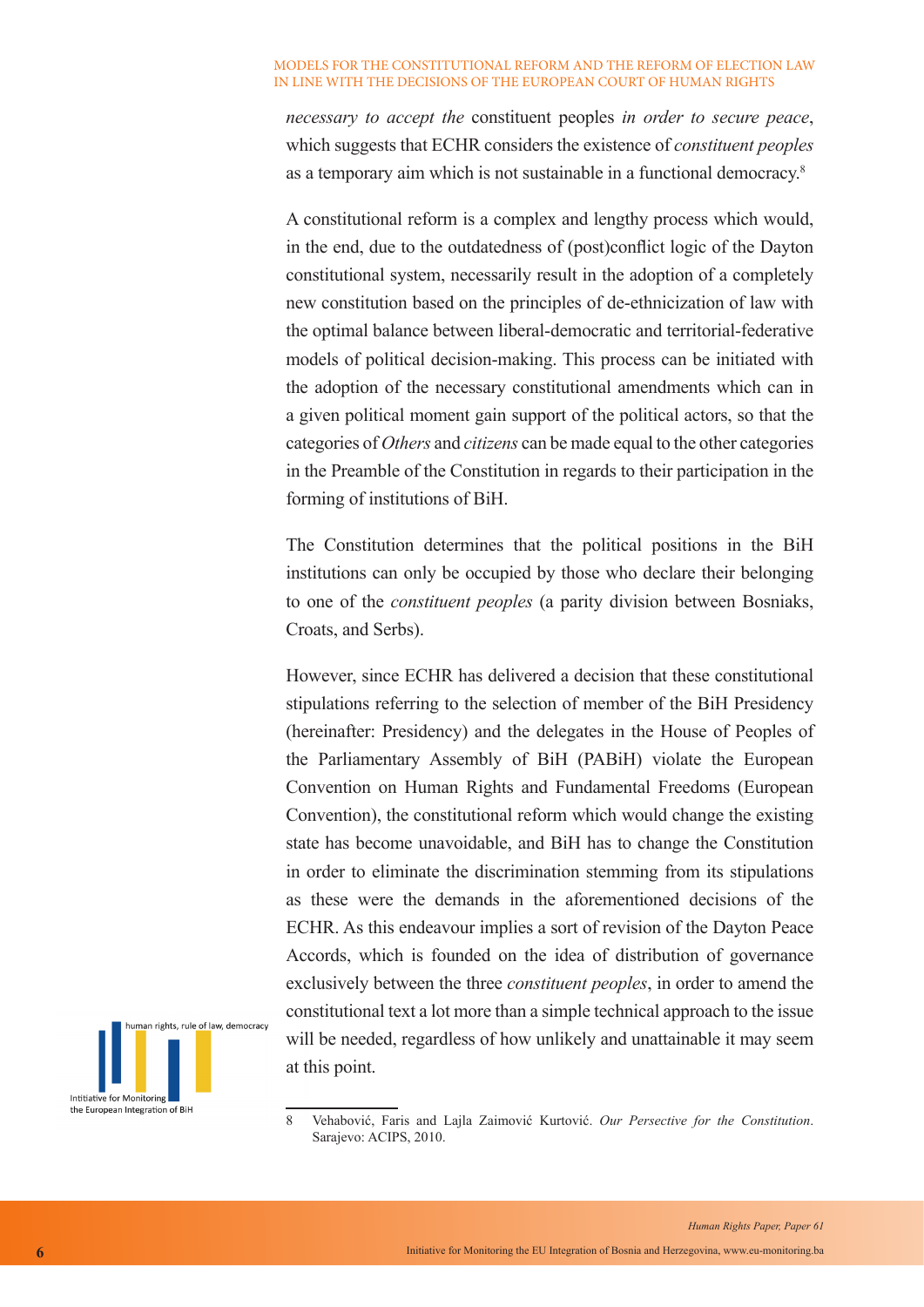*necessary to accept the* constituent peoples *in order to secure peace*, which suggests that ECHR considers the existence of *constituent peoples*  as a temporary aim which is not sustainable in a functional democracy.<sup>8</sup>

A constitutional reform is a complex and lengthy process which would, in the end, due to the outdatedness of (post)conflict logic of the Dayton constitutional system, necessarily result in the adoption of a completely new constitution based on the principles of de-ethnicization of law with the optimal balance between liberal-democratic and territorial-federative models of political decision-making. This process can be initiated with the adoption of the necessary constitutional amendments which can in a given political moment gain support of the political actors, so that the categories of *Others* and *citizens* can be made equal to the other categories in the Preamble of the Constitution in regards to their participation in the forming of institutions of BiH.

The Constitution determines that the political positions in the BiH institutions can only be occupied by those who declare their belonging to one of the *constituent peoples* (a parity division between Bosniaks, Croats, and Serbs).

However, since ECHR has delivered a decision that these constitutional stipulations referring to the selection of member of the BiH Presidency (hereinafter: Presidency) and the delegates in the House of Peoples of the Parliamentary Assembly of BiH (PABiH) violate the European Convention on Human Rights and Fundamental Freedoms (European Convention), the constitutional reform which would change the existing state has become unavoidable, and BiH has to change the Constitution in order to eliminate the discrimination stemming from its stipulations as these were the demands in the aforementioned decisions of the ECHR. As this endeavour implies a sort of revision of the Dayton Peace Accords, which is founded on the idea of distribution of governance exclusively between the three *constituent peoples*, in order to amend the constitutional text a lot more than a simple technical approach to the issue will be needed, regardless of how unlikely and unattainable it may seem at this point.



<sup>8</sup> Vehabović, Faris and Lajla Zaimović Kurtović. *Our Persective for the Constitution*. Sarajevo: ACIPS, 2010.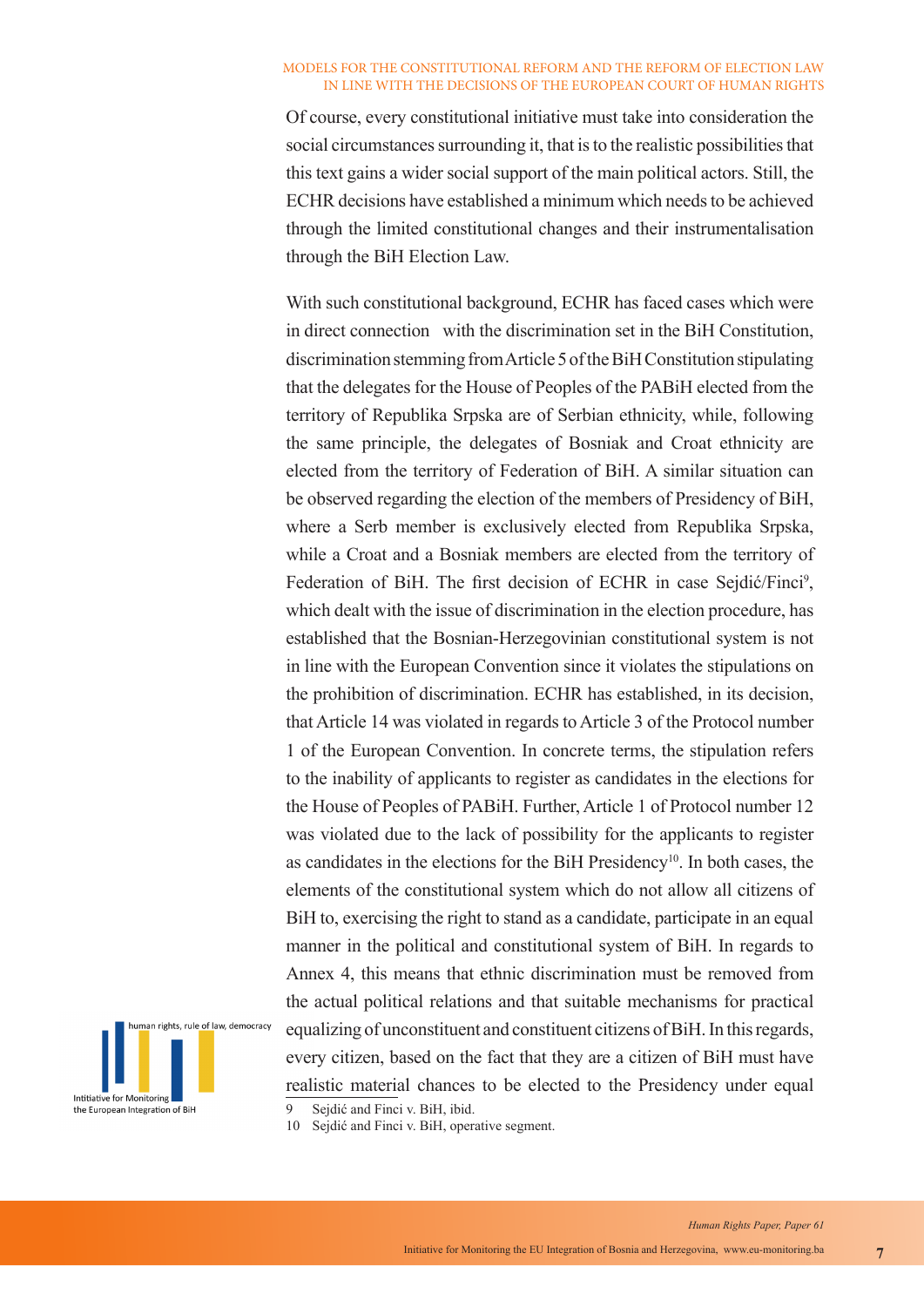Of course, every constitutional initiative must take into consideration the social circumstances surrounding it, that is to the realistic possibilities that this text gains a wider social support of the main political actors. Still, the ECHR decisions have established a minimum which needs to be achieved through the limited constitutional changes and their instrumentalisation through the BiH Election Law.

With such constitutional background, ECHR has faced cases which were in direct connection with the discrimination set in the BiH Constitution, discrimination stemming from Article 5 of the BiH Constitution stipulating that the delegates for the House of Peoples of the PABiH elected from the territory of Republika Srpska are of Serbian ethnicity, while, following the same principle, the delegates of Bosniak and Croat ethnicity are elected from the territory of Federation of BiH. A similar situation can be observed regarding the election of the members of Presidency of BiH, where a Serb member is exclusively elected from Republika Srpska, while a Croat and a Bosniak members are elected from the territory of Federation of BiH. The first decision of ECHR in case Sejdić/Finci<sup>9</sup>, which dealt with the issue of discrimination in the election procedure, has established that the Bosnian-Herzegovinian constitutional system is not in line with the European Convention since it violates the stipulations on the prohibition of discrimination. ECHR has established, in its decision, that Article 14 was violated in regards to Article 3 of the Protocol number 1 of the European Convention. In concrete terms, the stipulation refers to the inability of applicants to register as candidates in the elections for the House of Peoples of PABiH. Further, Article 1 of Protocol number 12 was violated due to the lack of possibility for the applicants to register as candidates in the elections for the BiH Presidency<sup>10</sup>. In both cases, the elements of the constitutional system which do not allow all citizens of BiH to, exercising the right to stand as a candidate, participate in an equal manner in the political and constitutional system of BiH. In regards to Annex 4, this means that ethnic discrimination must be removed from the actual political relations and that suitable mechanisms for practical equalizing of unconstituent and constituent citizens of BiH. In this regards, every citizen, based on the fact that they are a citizen of BiH must have realistic material chances to be elected to the Presidency under equal 9 Sejdić and Finci v. BiH, ibid.



10 Sejdić and Finci v. BiH, operative segment.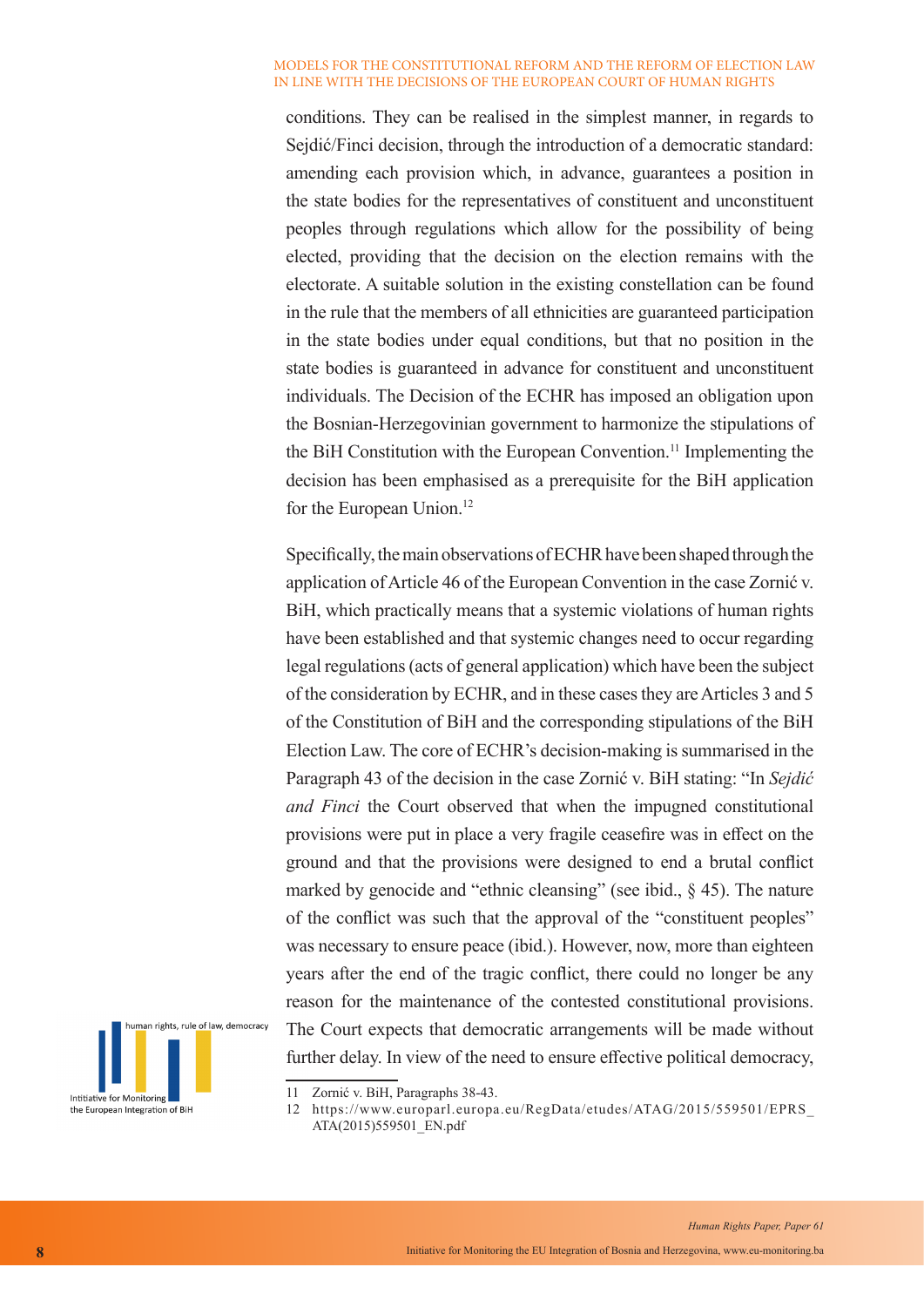conditions. They can be realised in the simplest manner, in regards to Sejdić/Finci decision, through the introduction of a democratic standard: amending each provision which, in advance, guarantees a position in the state bodies for the representatives of constituent and unconstituent peoples through regulations which allow for the possibility of being elected, providing that the decision on the election remains with the electorate. A suitable solution in the existing constellation can be found in the rule that the members of all ethnicities are guaranteed participation in the state bodies under equal conditions, but that no position in the state bodies is guaranteed in advance for constituent and unconstituent individuals. The Decision of the ECHR has imposed an obligation upon the Bosnian-Herzegovinian government to harmonize the stipulations of the BiH Constitution with the European Convention.<sup>11</sup> Implementing the decision has been emphasised as a prerequisite for the BiH application for the European Union.<sup>12</sup>

Specifically, the main observations of ECHR have been shaped through the application of Article 46 of the European Convention in the case Zornić v. BiH, which practically means that a systemic violations of human rights have been established and that systemic changes need to occur regarding legal regulations (acts of general application) which have been the subject of the consideration by ECHR, and in these cases they are Articles 3 and 5 of the Constitution of BiH and the corresponding stipulations of the BiH Election Law. The core of ECHR's decision-making is summarised in the Paragraph 43 of the decision in the case Zornić v. BiH stating: "In *Sejdić and Finci* the Court observed that when the impugned constitutional provisions were put in place a very fragile ceasefire was in effect on the ground and that the provisions were designed to end a brutal conflict marked by genocide and "ethnic cleansing" (see ibid., § 45). The nature of the conflict was such that the approval of the "constituent peoples" was necessary to ensure peace (ibid.). However, now, more than eighteen years after the end of the tragic conflict, there could no longer be any reason for the maintenance of the contested constitutional provisions. The Court expects that democratic arrangements will be made without further delay. In view of the need to ensure effective political democracy,



<sup>11</sup> Zornić v. BiH, Paragraphs 38-43.

12 https://www.europarl.europa.eu/RegData/etudes/ATAG/2015/559501/EPRS\_ ATA(2015)559501\_EN.pdf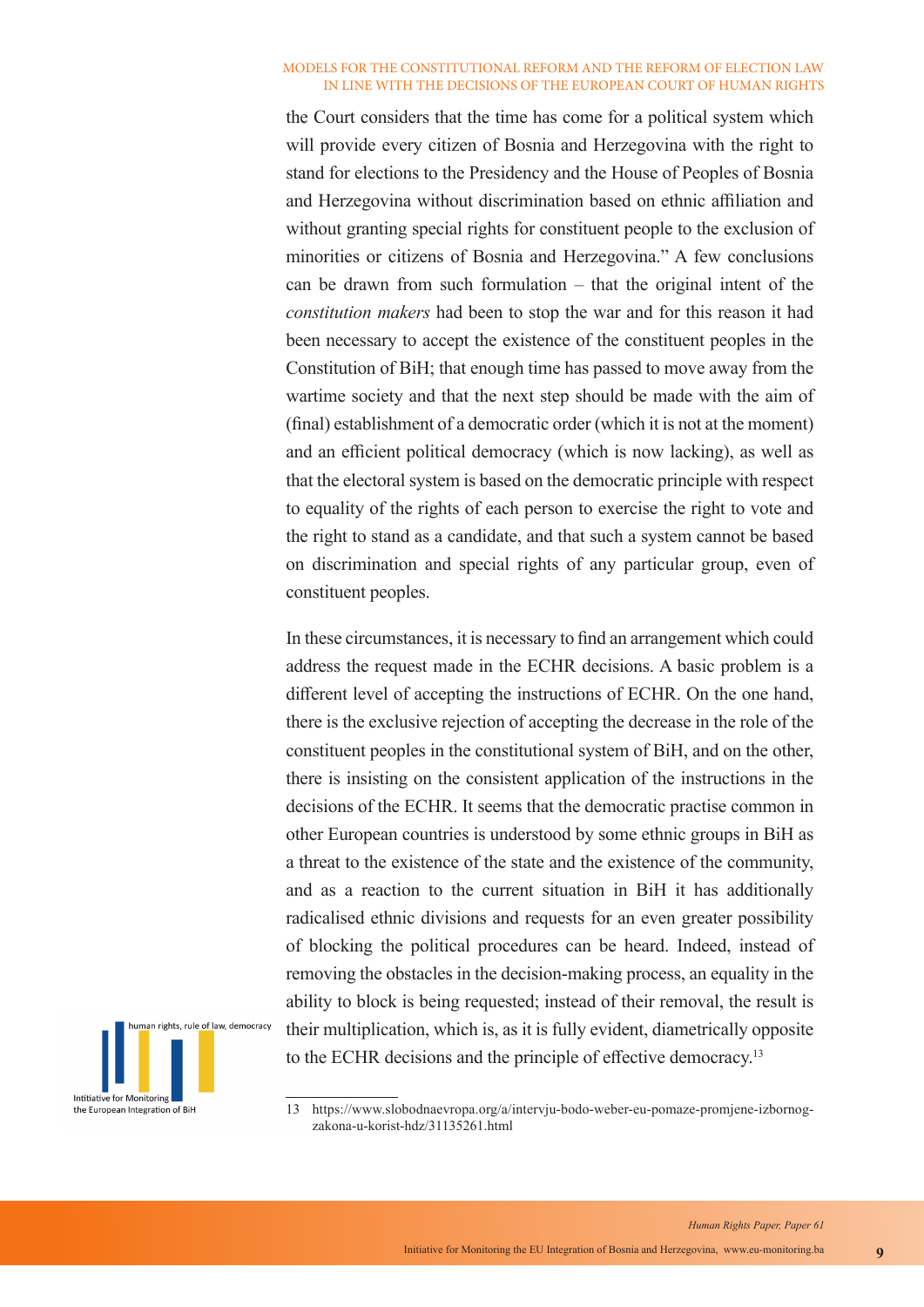the Court considers that the time has come for a political system which will provide every citizen of Bosnia and Herzegovina with the right to stand for elections to the Presidency and the House of Peoples of Bosnia and Herzegovina without discrimination based on ethnic affiliation and without granting special rights for constituent people to the exclusion of minorities or citizens of Bosnia and Herzegovina." A few conclusions can be drawn from such formulation – that the original intent of the *constitution makers* had been to stop the war and for this reason it had been necessary to accept the existence of the constituent peoples in the Constitution of BiH; that enough time has passed to move away from the wartime society and that the next step should be made with the aim of (final) establishment of a democratic order (which it is not at the moment) and an efficient political democracy (which is now lacking), as well as that the electoral system is based on the democratic principle with respect to equality of the rights of each person to exercise the right to vote and the right to stand as a candidate, and that such a system cannot be based on discrimination and special rights of any particular group, even of constituent peoples.

In these circumstances, it is necessary to find an arrangement which could address the request made in the ECHR decisions. A basic problem is a different level of accepting the instructions of ECHR. On the one hand, there is the exclusive rejection of accepting the decrease in the role of the constituent peoples in the constitutional system of BiH, and on the other, there is insisting on the consistent application of the instructions in the decisions of the ECHR. It seems that the democratic practise common in other European countries is understood by some ethnic groups in BiH as a threat to the existence of the state and the existence of the community, and as a reaction to the current situation in BiH it has additionally radicalised ethnic divisions and requests for an even greater possibility of blocking the political procedures can be heard. Indeed, instead of removing the obstacles in the decision-making process, an equality in the ability to block is being requested; instead of their removal, the result is their multiplication, which is, as it is fully evident, diametrically opposite to the ECHR decisions and the principle of effective democracy.<sup>13</sup>



<sup>13</sup> https://www.slobodnaevropa.org/a/intervju-bodo-weber-eu-pomaze-promjene-izbornogzakona-u-korist-hdz/31135261.html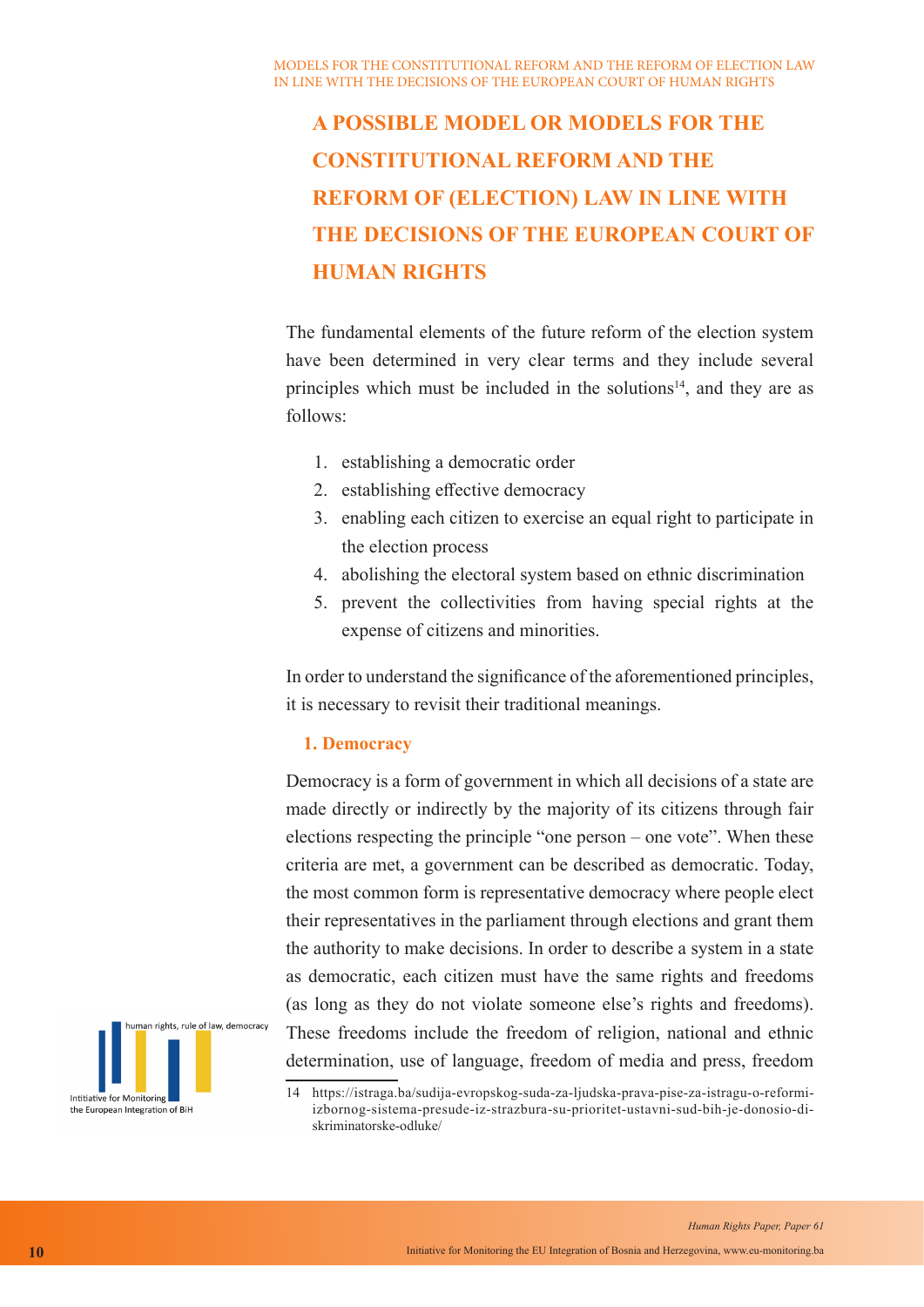The fundamental elements of the future reform of the election system have been determined in very clear terms and they include several principles which must be included in the solutions<sup>14</sup>, and they are as follows:

- 1. establishing a democratic order
- 2. establishing effective democracy
- 3. enabling each citizen to exercise an equal right to participate in the election process
- 4. abolishing the electoral system based on ethnic discrimination
- 5. prevent the collectivities from having special rights at the expense of citizens and minorities.

In order to understand the significance of the aforementioned principles, it is necessary to revisit their traditional meanings.

## **1. Democracy**

Democracy is a form of government in which all decisions of a state are made directly or indirectly by the majority of its citizens through fair elections respecting the principle "one person – one vote". When these criteria are met, a government can be described as democratic. Today, the most common form is representative democracy where people elect their representatives in the parliament through elections and grant them the authority to make decisions. In order to describe a system in a state as democratic, each citizen must have the same rights and freedoms (as long as they do not violate someone else's rights and freedoms). These freedoms include the freedom of religion, national and ethnic determination, use of language, freedom of media and press, freedom



<sup>14</sup> https://istraga.ba/sudija-evropskog-suda-za-ljudska-prava-pise-za-istragu-o-reformiizbornog-sistema-presude-iz-strazbura-su-prioritet-ustavni-sud-bih-je-donosio-diskriminatorske-odluke/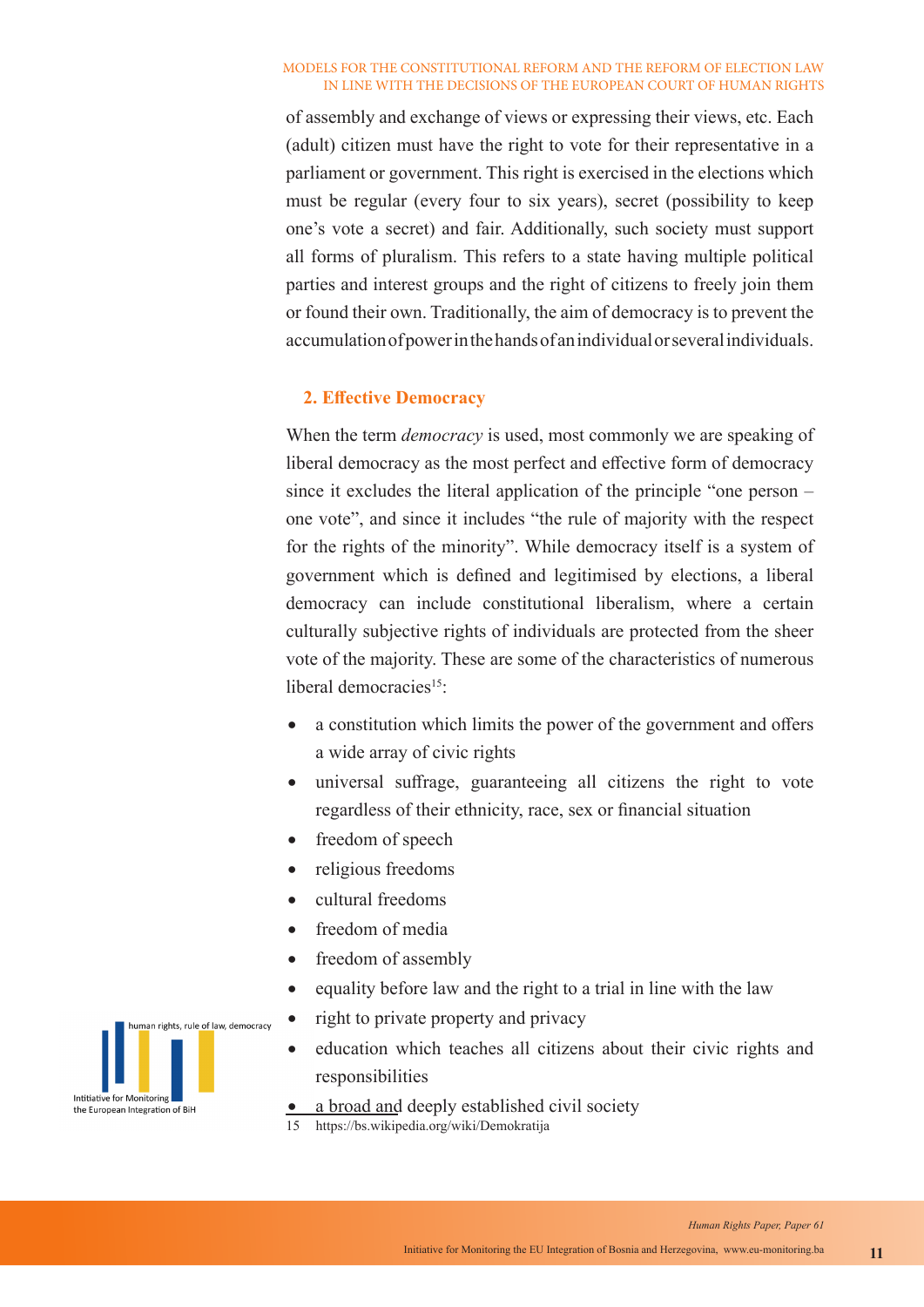of assembly and exchange of views or expressing their views, etc. Each (adult) citizen must have the right to vote for their representative in a parliament or government. This right is exercised in the elections which must be regular (every four to six years), secret (possibility to keep one's vote a secret) and fair. Additionally, such society must support all forms of pluralism. This refers to a state having multiple political parties and interest groups and the right of citizens to freely join them or found their own. Traditionally, the aim of democracy is to prevent the accumulation of power in the hands of an individual or several individuals.

## **2. Effective Democracy**

When the term *democracy* is used, most commonly we are speaking of liberal democracy as the most perfect and effective form of democracy since it excludes the literal application of the principle "one person – one vote", and since it includes "the rule of majority with the respect for the rights of the minority". While democracy itself is a system of government which is defined and legitimised by elections, a liberal democracy can include constitutional liberalism, where a certain culturally subjective rights of individuals are protected from the sheer vote of the majority. These are some of the characteristics of numerous liberal democracies<sup>15</sup>:

- a constitution which limits the power of the government and offers a wide array of civic rights
- universal suffrage, guaranteeing all citizens the right to vote regardless of their ethnicity, race, sex or financial situation
- freedom of speech
- religious freedoms
- cultural freedoms
- freedom of media
- freedom of assembly
- equality before law and the right to a trial in line with the law
- right to private property and privacy
- education which teaches all citizens about their civic rights and responsibilities
- a broad and deeply established civil society
- 15 https://bs.wikipedia.org/wiki/Demokratija

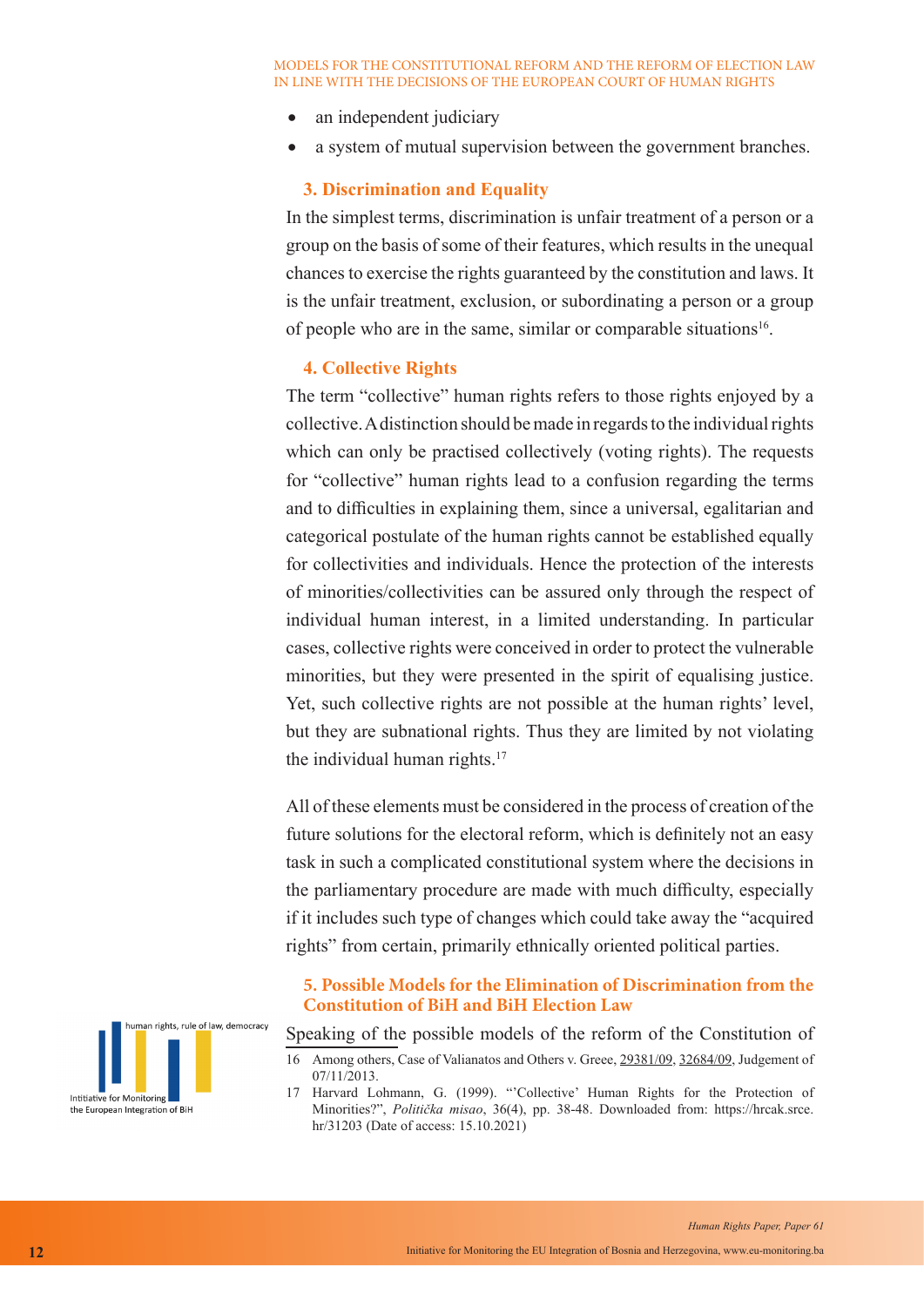- an independent judiciary
- a system of mutual supervision between the government branches.

## **3. Discrimination and Equality**

In the simplest terms, discrimination is unfair treatment of a person or a group on the basis of some of their features, which results in the unequal chances to exercise the rights guaranteed by the constitution and laws. It is the unfair treatment, exclusion, or subordinating a person or a group of people who are in the same, similar or comparable situations<sup>16</sup>.

## **4. Collective Rights**

The term "collective" human rights refers to those rights enjoyed by a collective. A distinction should be made in regards to the individual rights which can only be practised collectively (voting rights). The requests for "collective" human rights lead to a confusion regarding the terms and to difficulties in explaining them, since a universal, egalitarian and categorical postulate of the human rights cannot be established equally for collectivities and individuals. Hence the protection of the interests of minorities/collectivities can be assured only through the respect of individual human interest, in a limited understanding. In particular cases, collective rights were conceived in order to protect the vulnerable minorities, but they were presented in the spirit of equalising justice. Yet, such collective rights are not possible at the human rights' level, but they are subnational rights. Thus they are limited by not violating the individual human rights. $17$ 

All of these elements must be considered in the process of creation of the future solutions for the electoral reform, which is definitely not an easy task in such a complicated constitutional system where the decisions in the parliamentary procedure are made with much difficulty, especially if it includes such type of changes which could take away the "acquired rights" from certain, primarily ethnically oriented political parties.

## **5. Possible Models for the Elimination of Discrimination from the Constitution of BiH and BiH Election Law**

Speaking of the possible models of the reform of the Constitution of

17 Harvard Lohmann, G. (1999). "'Collective' Human Rights for the Protection of Minorities?", *Politička misao*, 36(4), pp. 38-48. Downloaded from: https://hrcak.srce. hr/31203 (Date of access: 15.10.2021)



<sup>16</sup> Among others, Case of Valianatos and Others v. Greee, 29381/09, 32684/09, Judgement of 07/11/2013.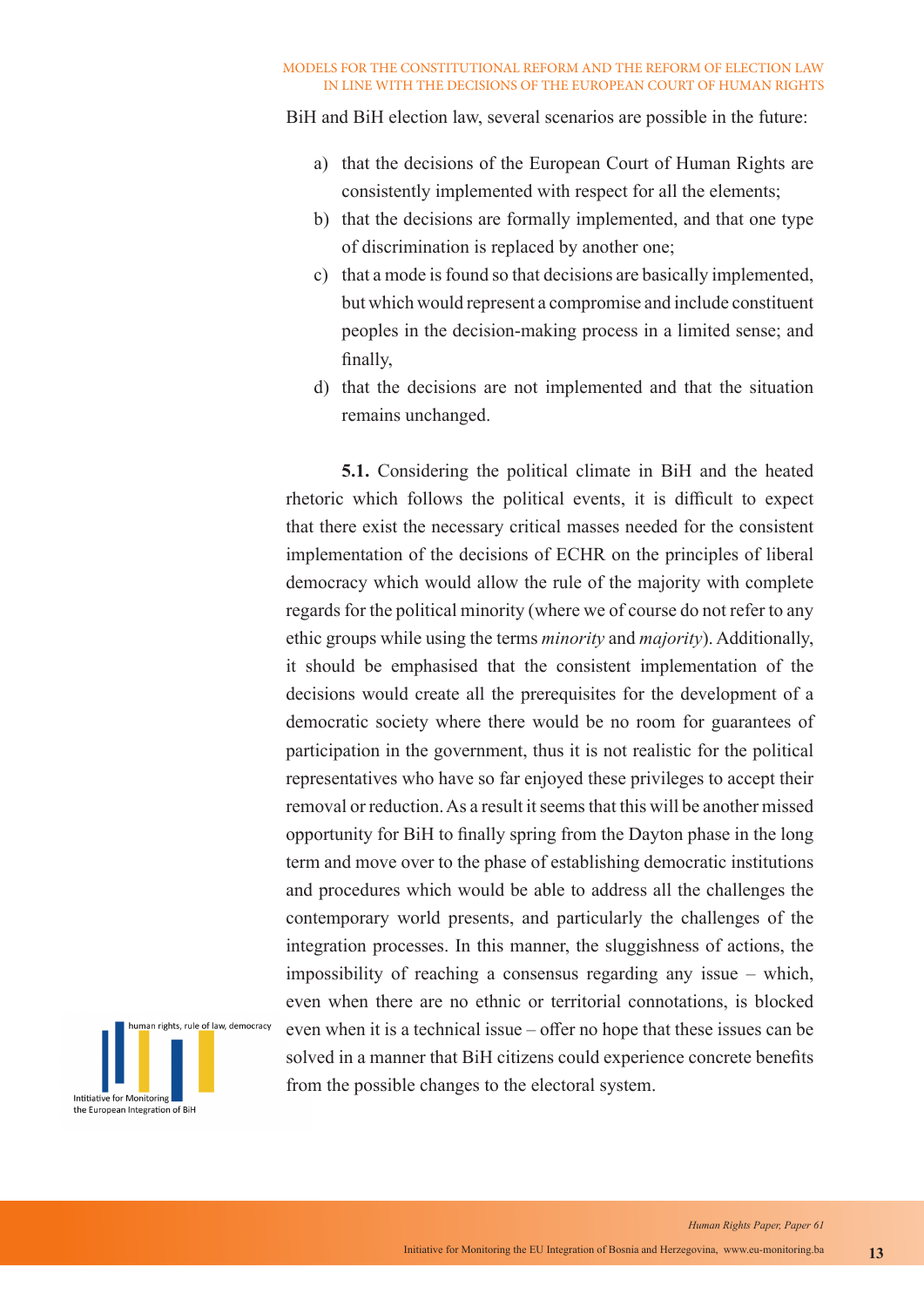BiH and BiH election law, several scenarios are possible in the future:

- a) that the decisions of the European Court of Human Rights are consistently implemented with respect for all the elements;
- b) that the decisions are formally implemented, and that one type of discrimination is replaced by another one;
- c) that a mode is found so that decisions are basically implemented, but which would represent a compromise and include constituent peoples in the decision-making process in a limited sense; and finally,
- d) that the decisions are not implemented and that the situation remains unchanged.

**5.1.** Considering the political climate in BiH and the heated rhetoric which follows the political events, it is difficult to expect that there exist the necessary critical masses needed for the consistent implementation of the decisions of ECHR on the principles of liberal democracy which would allow the rule of the majority with complete regards for the political minority (where we of course do not refer to any ethic groups while using the terms *minority* and *majority*). Additionally, it should be emphasised that the consistent implementation of the decisions would create all the prerequisites for the development of a democratic society where there would be no room for guarantees of participation in the government, thus it is not realistic for the political representatives who have so far enjoyed these privileges to accept their removal or reduction. As a result it seems that this will be another missed opportunity for BiH to finally spring from the Dayton phase in the long term and move over to the phase of establishing democratic institutions and procedures which would be able to address all the challenges the contemporary world presents, and particularly the challenges of the integration processes. In this manner, the sluggishness of actions, the impossibility of reaching a consensus regarding any issue – which, even when there are no ethnic or territorial connotations, is blocked even when it is a technical issue – offer no hope that these issues can be solved in a manner that BiH citizens could experience concrete benefits from the possible changes to the electoral system.

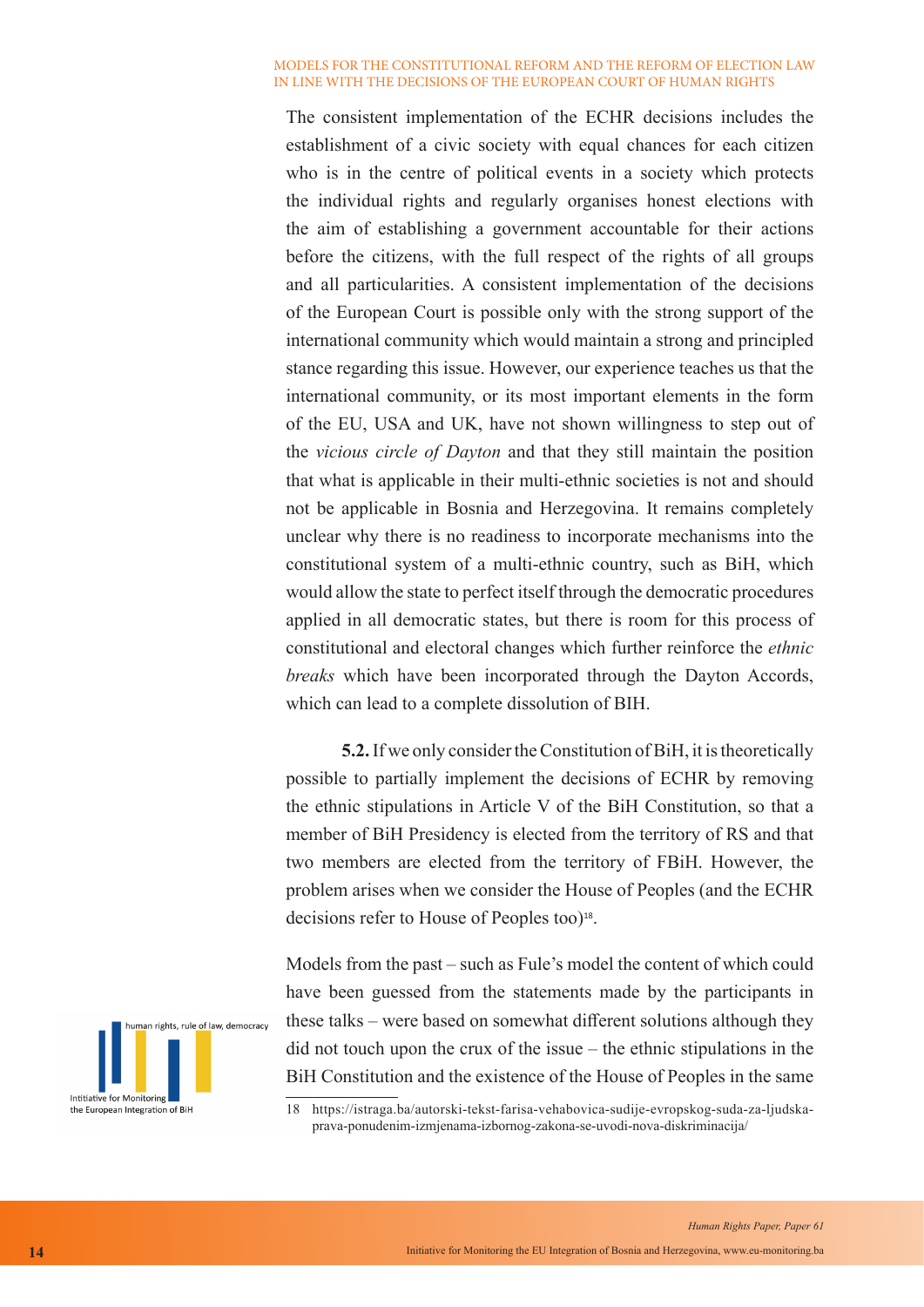The consistent implementation of the ECHR decisions includes the establishment of a civic society with equal chances for each citizen who is in the centre of political events in a society which protects the individual rights and regularly organises honest elections with the aim of establishing a government accountable for their actions before the citizens, with the full respect of the rights of all groups and all particularities. A consistent implementation of the decisions of the European Court is possible only with the strong support of the international community which would maintain a strong and principled stance regarding this issue. However, our experience teaches us that the international community, or its most important elements in the form of the EU, USA and UK, have not shown willingness to step out of the *vicious circle of Dayton* and that they still maintain the position that what is applicable in their multi-ethnic societies is not and should not be applicable in Bosnia and Herzegovina. It remains completely unclear why there is no readiness to incorporate mechanisms into the constitutional system of a multi-ethnic country, such as BiH, which would allow the state to perfect itself through the democratic procedures applied in all democratic states, but there is room for this process of constitutional and electoral changes which further reinforce the *ethnic breaks* which have been incorporated through the Dayton Accords, which can lead to a complete dissolution of BIH.

**5.2.** If we only consider the Constitution of BiH, it is theoretically possible to partially implement the decisions of ECHR by removing the ethnic stipulations in Article V of the BiH Constitution, so that a member of BiH Presidency is elected from the territory of RS and that two members are elected from the territory of FBiH. However, the problem arises when we consider the House of Peoples (and the ECHR decisions refer to House of Peoples too)<sup>18</sup>.

Models from the past – such as Fule's model the content of which could have been guessed from the statements made by the participants in these talks – were based on somewhat different solutions although they did not touch upon the crux of the issue – the ethnic stipulations in the BiH Constitution and the existence of the House of Peoples in the same



<sup>18</sup> https://istraga.ba/autorski-tekst-farisa-vehabovica-sudije-evropskog-suda-za-ljudskaprava-ponudenim-izmjenama-izbornog-zakona-se-uvodi-nova-diskriminacija/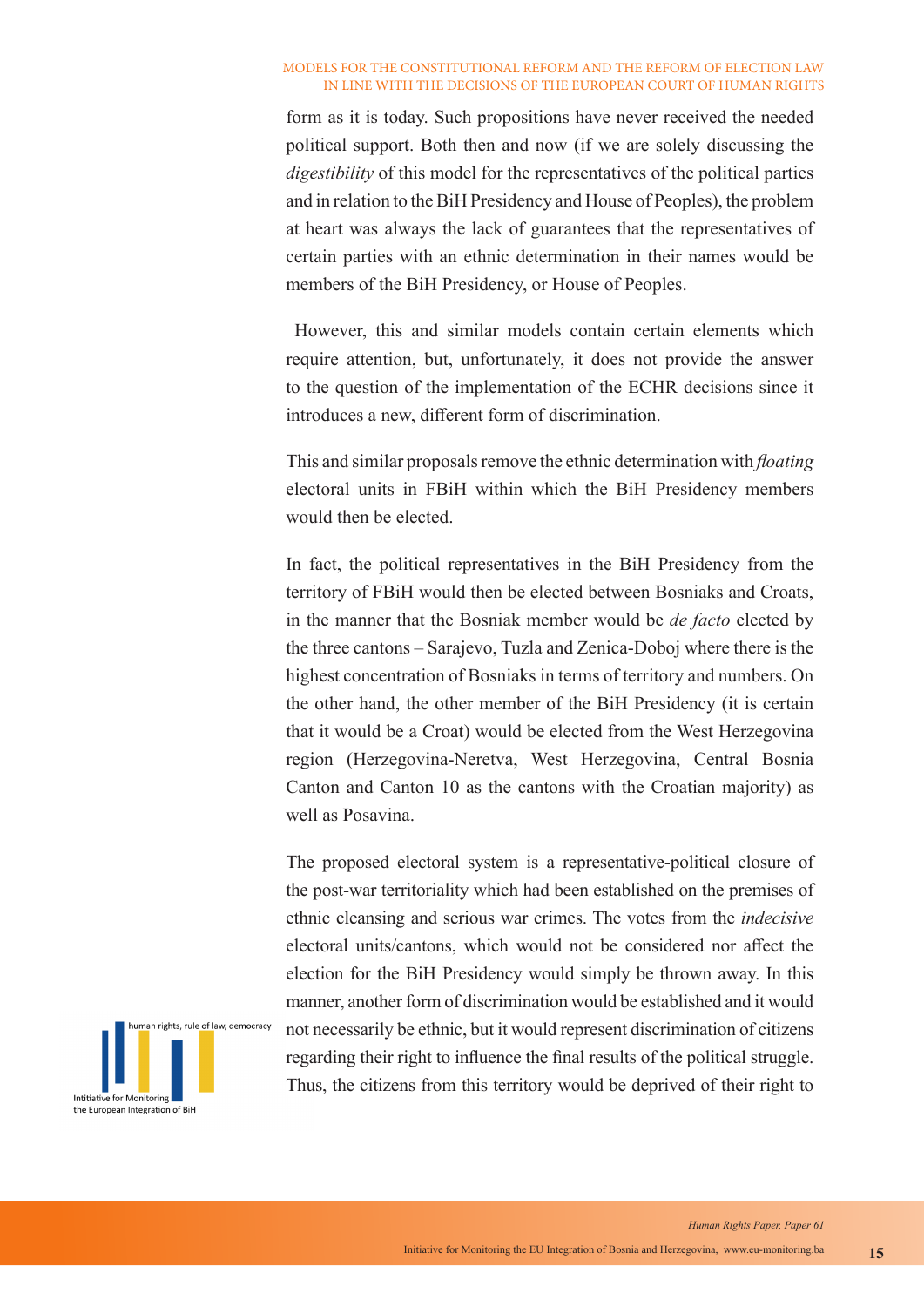form as it is today. Such propositions have never received the needed political support. Both then and now (if we are solely discussing the *digestibility* of this model for the representatives of the political parties and in relation to the BiH Presidency and House of Peoples), the problem at heart was always the lack of guarantees that the representatives of certain parties with an ethnic determination in their names would be members of the BiH Presidency, or House of Peoples.

 However, this and similar models contain certain elements which require attention, but, unfortunately, it does not provide the answer to the question of the implementation of the ECHR decisions since it introduces a new, different form of discrimination.

This and similar proposals remove the ethnic determination with *floating*  electoral units in FBiH within which the BiH Presidency members would then be elected.

In fact, the political representatives in the BiH Presidency from the territory of FBiH would then be elected between Bosniaks and Croats, in the manner that the Bosniak member would be *de facto* elected by the three cantons – Sarajevo, Tuzla and Zenica-Doboj where there is the highest concentration of Bosniaks in terms of territory and numbers. On the other hand, the other member of the BiH Presidency (it is certain that it would be a Croat) would be elected from the West Herzegovina region (Herzegovina-Neretva, West Herzegovina, Central Bosnia Canton and Canton 10 as the cantons with the Croatian majority) as well as Posavina.

The proposed electoral system is a representative-political closure of the post-war territoriality which had been established on the premises of ethnic cleansing and serious war crimes. The votes from the *indecisive* electoral units/cantons, which would not be considered nor affect the election for the BiH Presidency would simply be thrown away. In this manner, another form of discrimination would be established and it would not necessarily be ethnic, but it would represent discrimination of citizens regarding their right to influence the final results of the political struggle. Thus, the citizens from this territory would be deprived of their right to

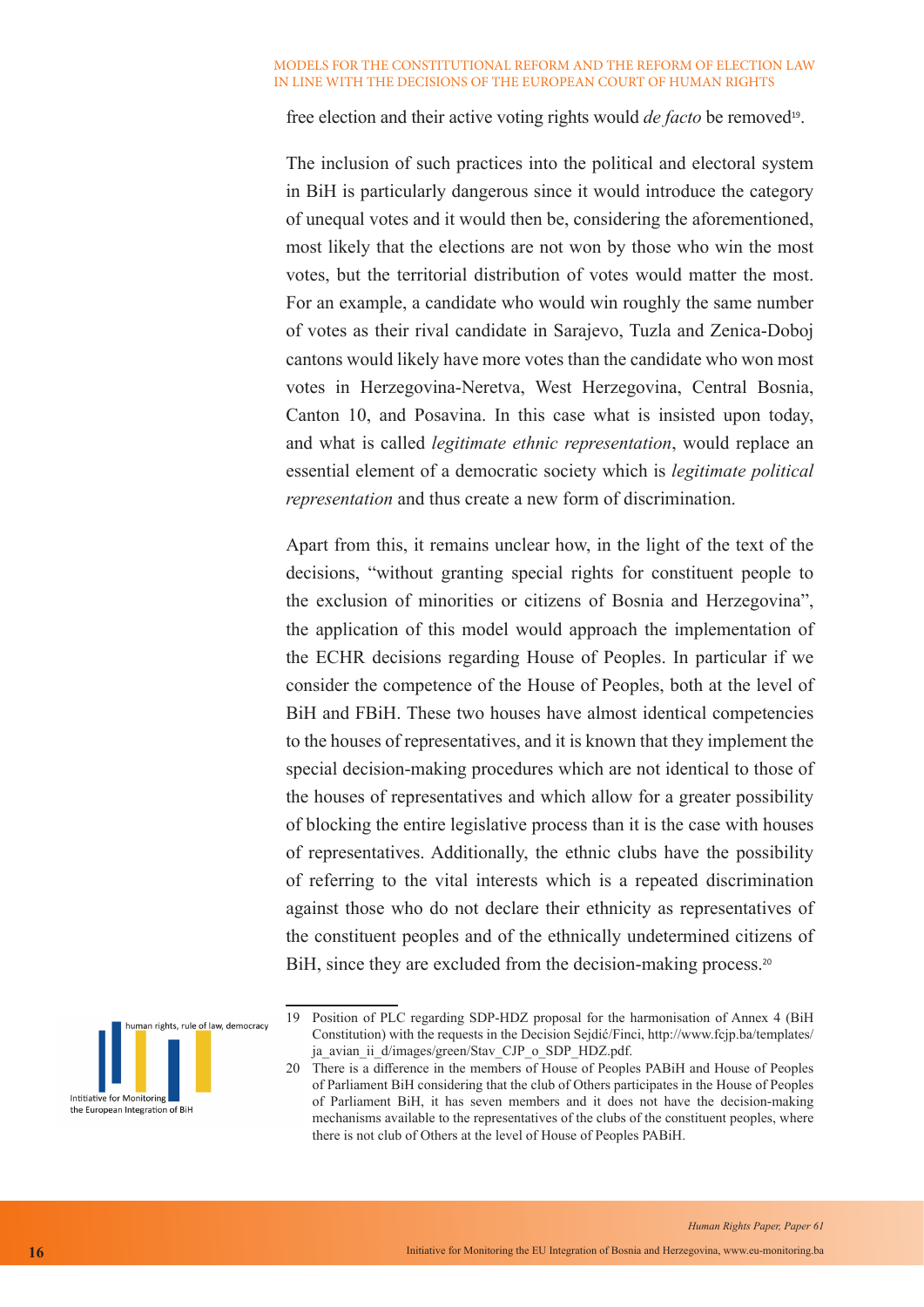free election and their active voting rights would *de facto* be removed<sup>19</sup>.

The inclusion of such practices into the political and electoral system in BiH is particularly dangerous since it would introduce the category of unequal votes and it would then be, considering the aforementioned, most likely that the elections are not won by those who win the most votes, but the territorial distribution of votes would matter the most. For an example, a candidate who would win roughly the same number of votes as their rival candidate in Sarajevo, Tuzla and Zenica-Doboj cantons would likely have more votes than the candidate who won most votes in Herzegovina-Neretva, West Herzegovina, Central Bosnia, Canton 10, and Posavina. In this case what is insisted upon today, and what is called *legitimate ethnic representation*, would replace an essential element of a democratic society which is *legitimate political representation* and thus create a new form of discrimination.

Apart from this, it remains unclear how, in the light of the text of the decisions, "without granting special rights for constituent people to the exclusion of minorities or citizens of Bosnia and Herzegovina", the application of this model would approach the implementation of the ECHR decisions regarding House of Peoples. In particular if we consider the competence of the House of Peoples, both at the level of BiH and FBiH. These two houses have almost identical competencies to the houses of representatives, and it is known that they implement the special decision-making procedures which are not identical to those of the houses of representatives and which allow for a greater possibility of blocking the entire legislative process than it is the case with houses of representatives. Additionally, the ethnic clubs have the possibility of referring to the vital interests which is a repeated discrimination against those who do not declare their ethnicity as representatives of the constituent peoples and of the ethnically undetermined citizens of BiH, since they are excluded from the decision-making process.<sup>20</sup>



<sup>19</sup> Position of PLC regarding SDP-HDZ proposal for the harmonisation of Annex 4 (BiH Constitution) with the requests in the Decision Sejdić/Finci, http://www.fcjp.ba/templates/ ja\_avian\_ii\_d/images/green/Stav\_CJP\_o\_SDP\_HDZ.pdf.

<sup>20</sup> There is a difference in the members of House of Peoples PABiH and House of Peoples of Parliament BiH considering that the club of Others participates in the House of Peoples of Parliament BiH, it has seven members and it does not have the decision-making mechanisms available to the representatives of the clubs of the constituent peoples, where there is not club of Others at the level of House of Peoples PABiH.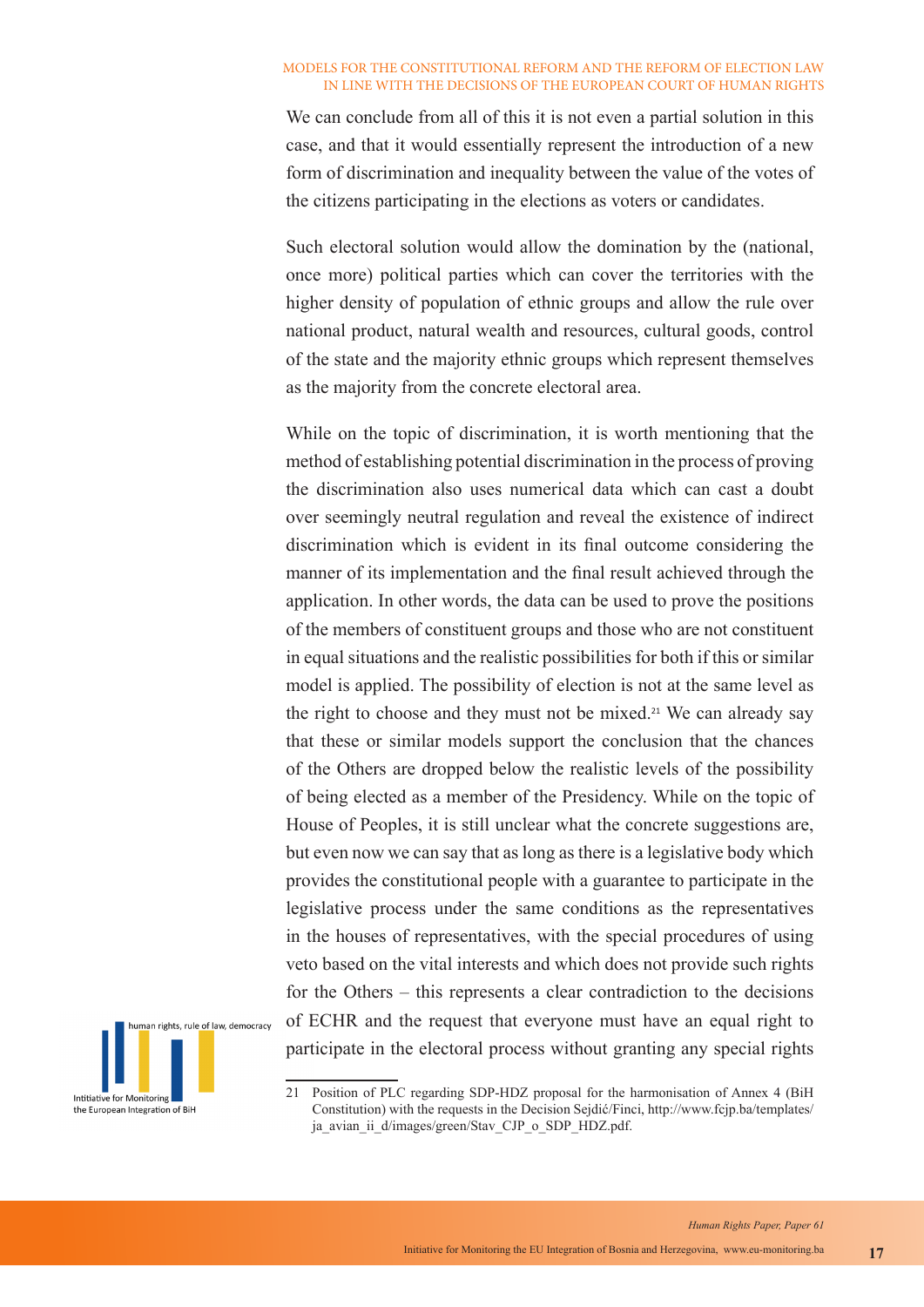We can conclude from all of this it is not even a partial solution in this case, and that it would essentially represent the introduction of a new form of discrimination and inequality between the value of the votes of the citizens participating in the elections as voters or candidates.

Such electoral solution would allow the domination by the (national, once more) political parties which can cover the territories with the higher density of population of ethnic groups and allow the rule over national product, natural wealth and resources, cultural goods, control of the state and the majority ethnic groups which represent themselves as the majority from the concrete electoral area.

While on the topic of discrimination, it is worth mentioning that the method of establishing potential discrimination in the process of proving the discrimination also uses numerical data which can cast a doubt over seemingly neutral regulation and reveal the existence of indirect discrimination which is evident in its final outcome considering the manner of its implementation and the final result achieved through the application. In other words, the data can be used to prove the positions of the members of constituent groups and those who are not constituent in equal situations and the realistic possibilities for both if this or similar model is applied. The possibility of election is not at the same level as the right to choose and they must not be mixed.<sup>21</sup> We can already say that these or similar models support the conclusion that the chances of the Others are dropped below the realistic levels of the possibility of being elected as a member of the Presidency. While on the topic of House of Peoples, it is still unclear what the concrete suggestions are, but even now we can say that as long as there is a legislative body which provides the constitutional people with a guarantee to participate in the legislative process under the same conditions as the representatives in the houses of representatives, with the special procedures of using veto based on the vital interests and which does not provide such rights for the Others – this represents a clear contradiction to the decisions of ECHR and the request that everyone must have an equal right to participate in the electoral process without granting any special rights



<sup>21</sup> Position of PLC regarding SDP-HDZ proposal for the harmonisation of Annex 4 (BiH Constitution) with the requests in the Decision Sejdić/Finci, http://www.fcjp.ba/templates/ ja\_avian\_ii\_d/images/green/Stav\_CJP\_o\_SDP\_HDZ.pdf.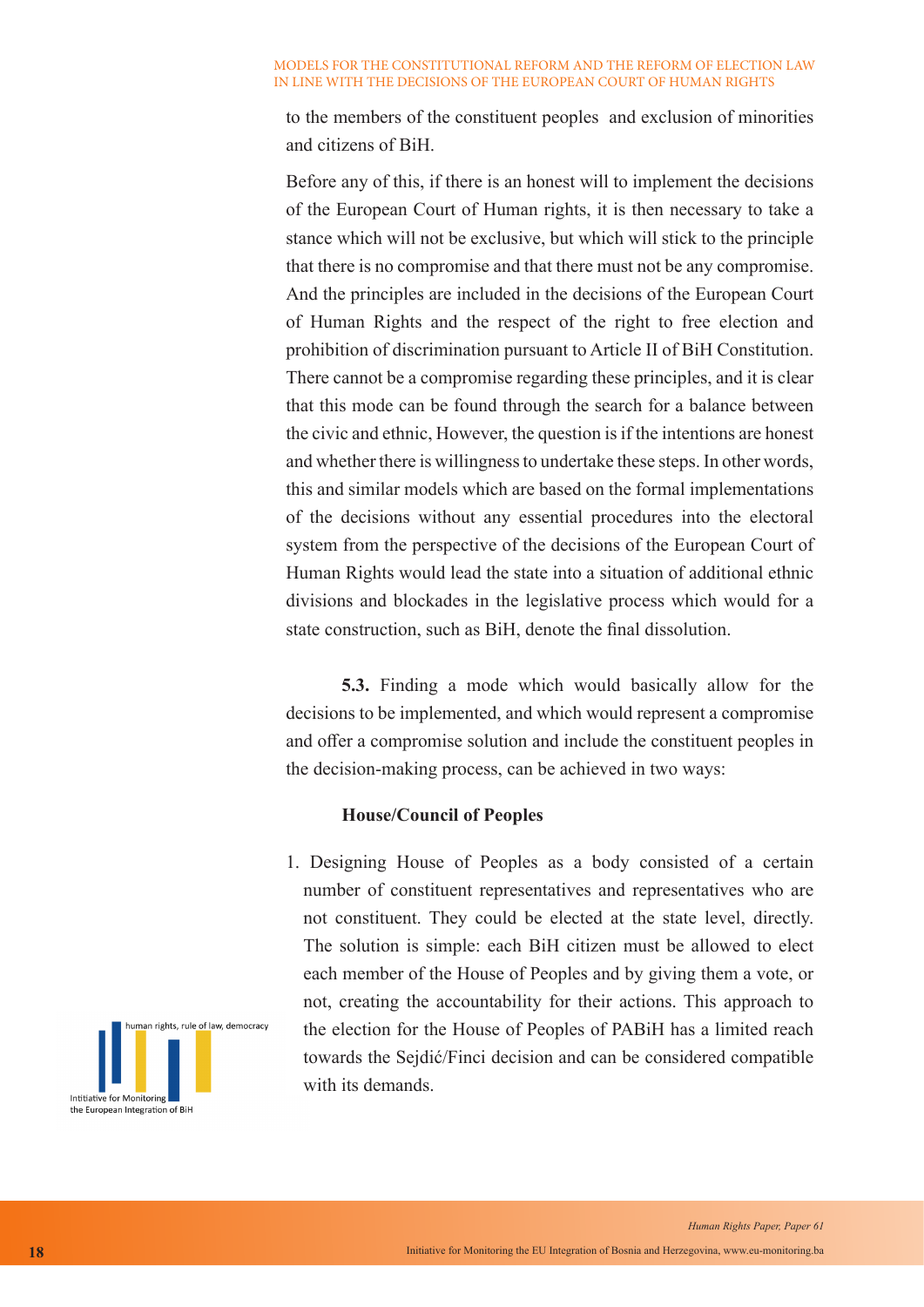to the members of the constituent peoples and exclusion of minorities and citizens of BiH.

Before any of this, if there is an honest will to implement the decisions of the European Court of Human rights, it is then necessary to take a stance which will not be exclusive, but which will stick to the principle that there is no compromise and that there must not be any compromise. And the principles are included in the decisions of the European Court of Human Rights and the respect of the right to free election and prohibition of discrimination pursuant to Article II of BiH Constitution. There cannot be a compromise regarding these principles, and it is clear that this mode can be found through the search for a balance between the civic and ethnic, However, the question is if the intentions are honest and whether there is willingness to undertake these steps. In other words, this and similar models which are based on the formal implementations of the decisions without any essential procedures into the electoral system from the perspective of the decisions of the European Court of Human Rights would lead the state into a situation of additional ethnic divisions and blockades in the legislative process which would for a state construction, such as BiH, denote the final dissolution.

**5.3.** Finding a mode which would basically allow for the decisions to be implemented, and which would represent a compromise and offer a compromise solution and include the constituent peoples in the decision-making process, can be achieved in two ways:

### **House/Council of Peoples**

1. Designing House of Peoples as a body consisted of a certain number of constituent representatives and representatives who are not constituent. They could be elected at the state level, directly. The solution is simple: each BiH citizen must be allowed to elect each member of the House of Peoples and by giving them a vote, or not, creating the accountability for their actions. This approach to the election for the House of Peoples of PABiH has a limited reach towards the Sejdić/Finci decision and can be considered compatible with its demands.

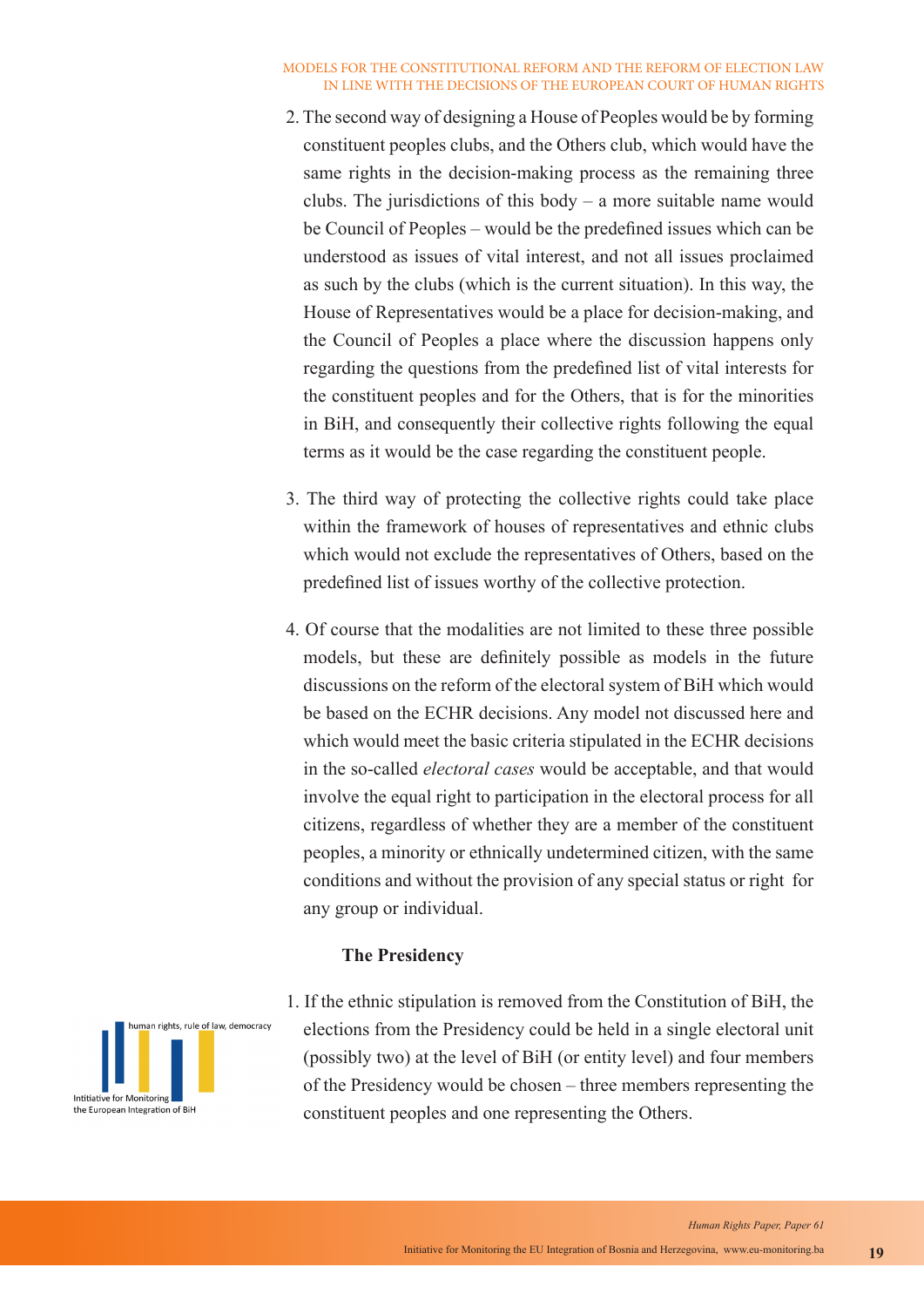- 2. The second way of designing a House of Peoples would be by forming constituent peoples clubs, and the Others club, which would have the same rights in the decision-making process as the remaining three clubs. The jurisdictions of this body – a more suitable name would be Council of Peoples – would be the predefined issues which can be understood as issues of vital interest, and not all issues proclaimed as such by the clubs (which is the current situation). In this way, the House of Representatives would be a place for decision-making, and the Council of Peoples a place where the discussion happens only regarding the questions from the predefined list of vital interests for the constituent peoples and for the Others, that is for the minorities in BiH, and consequently their collective rights following the equal terms as it would be the case regarding the constituent people.
- 3. The third way of protecting the collective rights could take place within the framework of houses of representatives and ethnic clubs which would not exclude the representatives of Others, based on the predefined list of issues worthy of the collective protection.
- 4. Of course that the modalities are not limited to these three possible models, but these are definitely possible as models in the future discussions on the reform of the electoral system of BiH which would be based on the ECHR decisions. Any model not discussed here and which would meet the basic criteria stipulated in the ECHR decisions in the so-called *electoral cases* would be acceptable, and that would involve the equal right to participation in the electoral process for all citizens, regardless of whether they are a member of the constituent peoples, a minority or ethnically undetermined citizen, with the same conditions and without the provision of any special status or right for any group or individual.

### **The Presidency**



1. If the ethnic stipulation is removed from the Constitution of BiH, the elections from the Presidency could be held in a single electoral unit (possibly two) at the level of BiH (or entity level) and four members of the Presidency would be chosen – three members representing the constituent peoples and one representing the Others.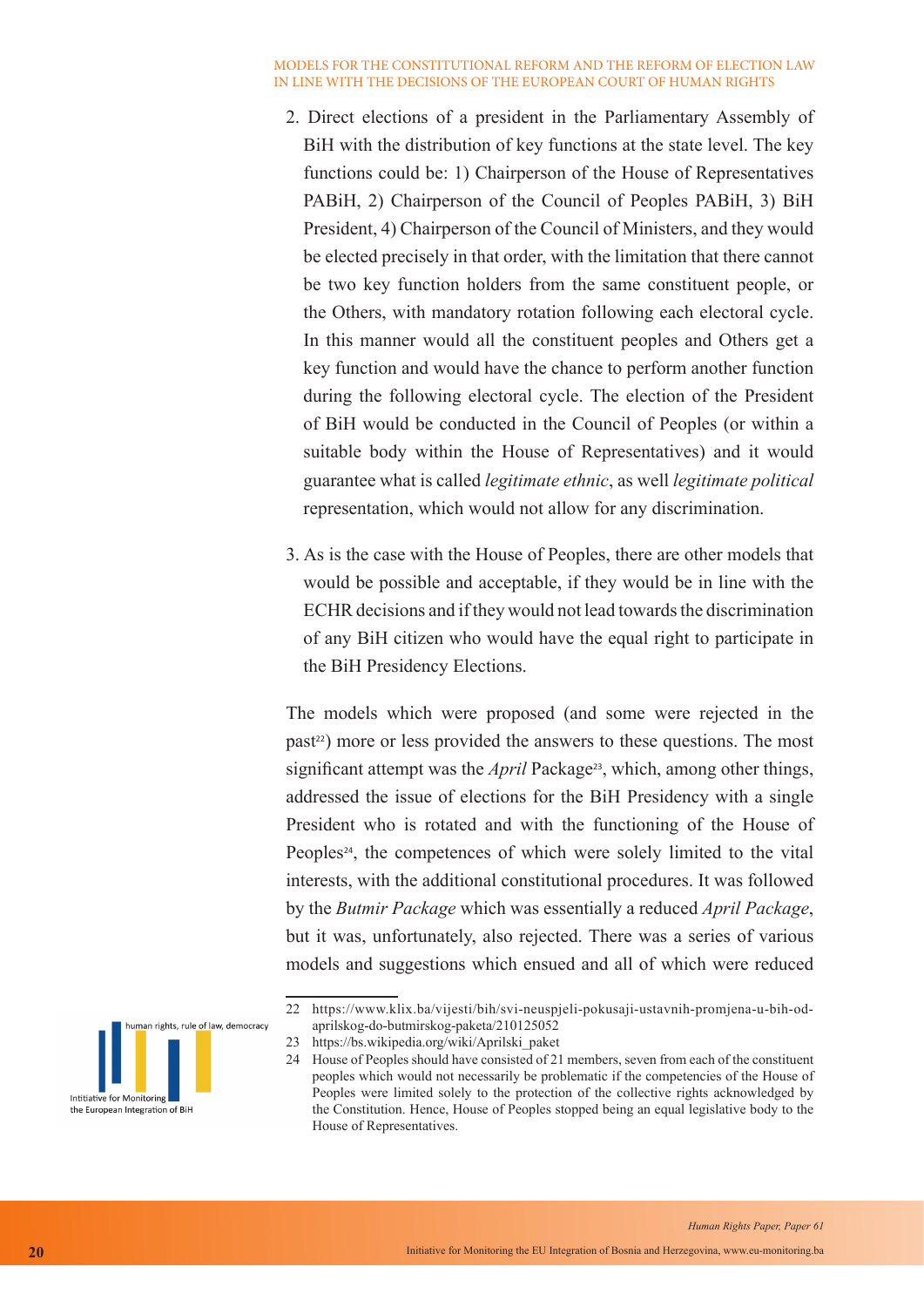- 2. Direct elections of a president in the Parliamentary Assembly of BiH with the distribution of key functions at the state level. The key functions could be: 1) Chairperson of the House of Representatives PABiH, 2) Chairperson of the Council of Peoples PABiH, 3) BiH President, 4) Chairperson of the Council of Ministers, and they would be elected precisely in that order, with the limitation that there cannot be two key function holders from the same constituent people, or the Others, with mandatory rotation following each electoral cycle. In this manner would all the constituent peoples and Others get a key function and would have the chance to perform another function during the following electoral cycle. The election of the President of BiH would be conducted in the Council of Peoples (or within a suitable body within the House of Representatives) and it would guarantee what is called *legitimate ethnic*, as well *legitimate political* representation, which would not allow for any discrimination.
- 3. As is the case with the House of Peoples, there are other models that would be possible and acceptable, if they would be in line with the ECHR decisions and if they would not lead towards the discrimination of any BiH citizen who would have the equal right to participate in the BiH Presidency Elections.

The models which were proposed (and some were rejected in the past<sup>22</sup>) more or less provided the answers to these questions. The most significant attempt was the *April* Package<sup>23</sup>, which, among other things, addressed the issue of elections for the BiH Presidency with a single President who is rotated and with the functioning of the House of Peoples<sup>24</sup>, the competences of which were solely limited to the vital interests, with the additional constitutional procedures. It was followed by the *Butmir Package* which was essentially a reduced *April Package*, but it was, unfortunately, also rejected. There was a series of various models and suggestions which ensued and all of which were reduced

<sup>24</sup> House of Peoples should have consisted of 21 members, seven from each of the constituent peoples which would not necessarily be problematic if the competencies of the House of Peoples were limited solely to the protection of the collective rights acknowledged by the Constitution. Hence, House of Peoples stopped being an equal legislative body to the House of Representatives.



<sup>22</sup> https://www.klix.ba/vijesti/bih/svi-neuspjeli-pokusaji-ustavnih-promjena-u-bih-odaprilskog-do-butmirskog-paketa/210125052

<sup>23</sup> https://bs.wikipedia.org/wiki/Aprilski\_paket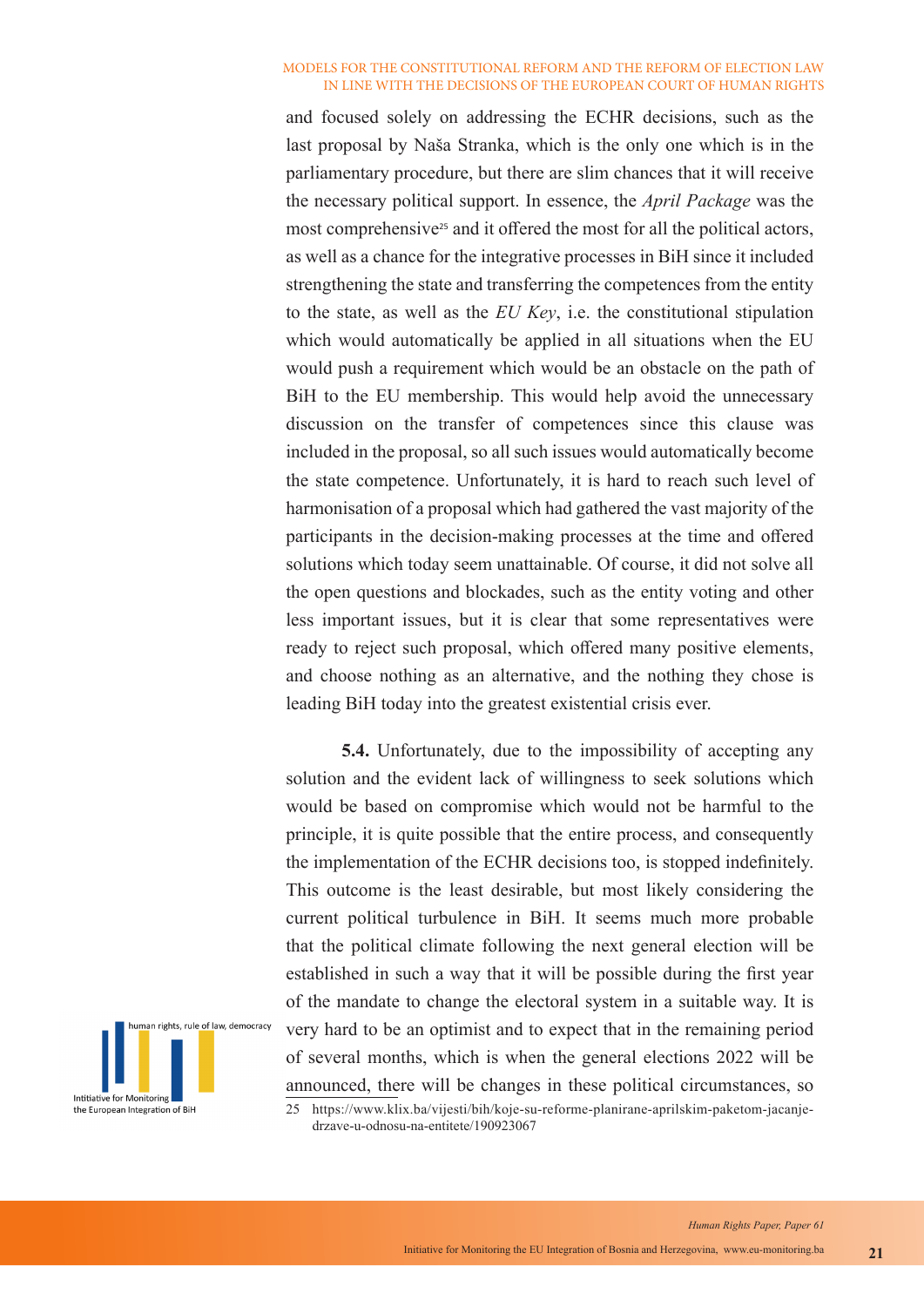and focused solely on addressing the ECHR decisions, such as the last proposal by Naša Stranka, which is the only one which is in the parliamentary procedure, but there are slim chances that it will receive the necessary political support. In essence, the *April Package* was the most comprehensive<sup>25</sup> and it offered the most for all the political actors, as well as a chance for the integrative processes in BiH since it included strengthening the state and transferring the competences from the entity to the state, as well as the *EU Key*, i.e. the constitutional stipulation which would automatically be applied in all situations when the EU would push a requirement which would be an obstacle on the path of BiH to the EU membership. This would help avoid the unnecessary discussion on the transfer of competences since this clause was included in the proposal, so all such issues would automatically become the state competence. Unfortunately, it is hard to reach such level of harmonisation of a proposal which had gathered the vast majority of the participants in the decision-making processes at the time and offered solutions which today seem unattainable. Of course, it did not solve all the open questions and blockades, such as the entity voting and other less important issues, but it is clear that some representatives were ready to reject such proposal, which offered many positive elements, and choose nothing as an alternative, and the nothing they chose is leading BiH today into the greatest existential crisis ever.

**5.4.** Unfortunately, due to the impossibility of accepting any solution and the evident lack of willingness to seek solutions which would be based on compromise which would not be harmful to the principle, it is quite possible that the entire process, and consequently the implementation of the ECHR decisions too, is stopped indefinitely. This outcome is the least desirable, but most likely considering the current political turbulence in BiH. It seems much more probable that the political climate following the next general election will be established in such a way that it will be possible during the first year of the mandate to change the electoral system in a suitable way. It is very hard to be an optimist and to expect that in the remaining period of several months, which is when the general elections 2022 will be announced, there will be changes in these political circumstances, so 25 https://www.klix.ba/vijesti/bih/koje-su-reforme-planirane-aprilskim-paketom-jacanjedrzave-u-odnosu-na-entitete/190923067

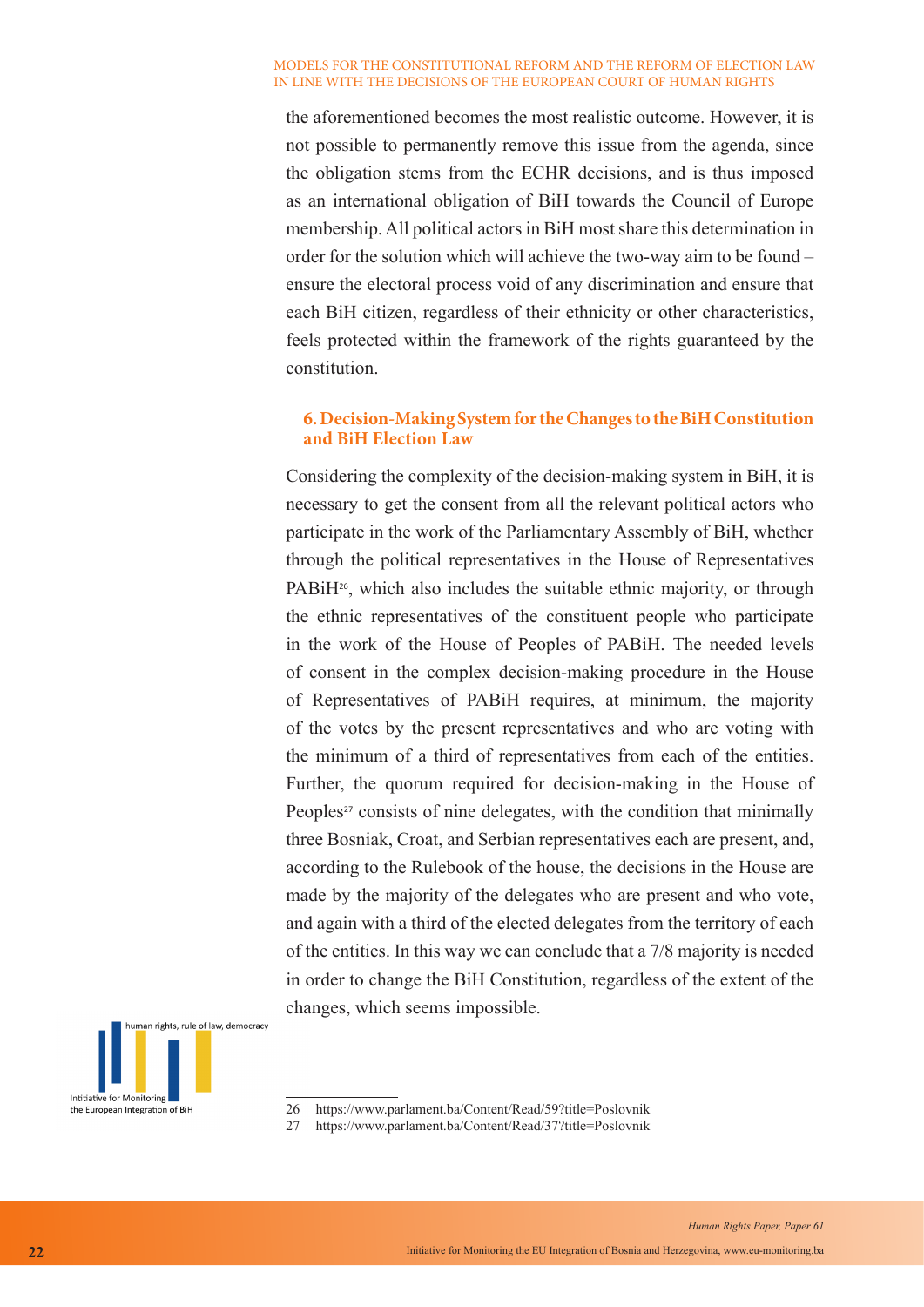the aforementioned becomes the most realistic outcome. However, it is not possible to permanently remove this issue from the agenda, since the obligation stems from the ECHR decisions, and is thus imposed as an international obligation of BiH towards the Council of Europe membership. All political actors in BiH most share this determination in order for the solution which will achieve the two-way aim to be found – ensure the electoral process void of any discrimination and ensure that each BiH citizen, regardless of their ethnicity or other characteristics, feels protected within the framework of the rights guaranteed by the constitution.

## **6. Decision-Making System for the Changes to the BiH Constitution and BiH Election Law**

Considering the complexity of the decision-making system in BiH, it is necessary to get the consent from all the relevant political actors who participate in the work of the Parliamentary Assembly of BiH, whether through the political representatives in the House of Representatives PABiH<sup>26</sup>, which also includes the suitable ethnic majority, or through the ethnic representatives of the constituent people who participate in the work of the House of Peoples of PABiH. The needed levels of consent in the complex decision-making procedure in the House of Representatives of PABiH requires, at minimum, the majority of the votes by the present representatives and who are voting with the minimum of a third of representatives from each of the entities. Further, the quorum required for decision-making in the House of Peoples<sup>27</sup> consists of nine delegates, with the condition that minimally three Bosniak, Croat, and Serbian representatives each are present, and, according to the Rulebook of the house, the decisions in the House are made by the majority of the delegates who are present and who vote, and again with a third of the elected delegates from the territory of each of the entities. In this way we can conclude that a 7/8 majority is needed in order to change the BiH Constitution, regardless of the extent of the changes, which seems impossible.



<sup>26</sup> https://www.parlament.ba/Content/Read/59?title=Poslovnik

27 https://www.parlament.ba/Content/Read/37?title=Poslovnik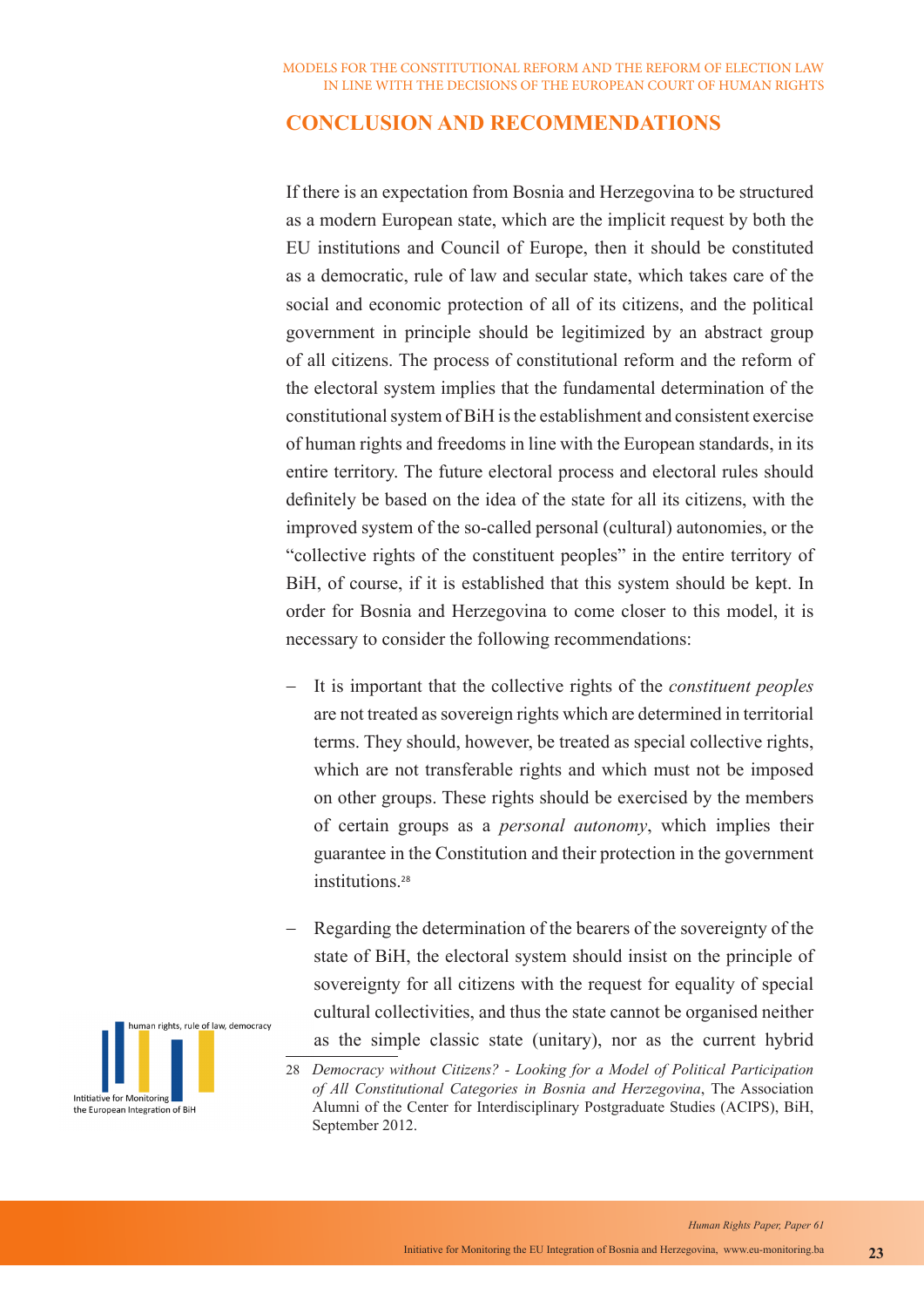## **CONCLUSION AND RECOMMENDATIONS**

If there is an expectation from Bosnia and Herzegovina to be structured as a modern European state, which are the implicit request by both the EU institutions and Council of Europe, then it should be constituted as a democratic, rule of law and secular state, which takes care of the social and economic protection of all of its citizens, and the political government in principle should be legitimized by an abstract group of all citizens. The process of constitutional reform and the reform of the electoral system implies that the fundamental determination of the constitutional system of BiH is the establishment and consistent exercise of human rights and freedoms in line with the European standards, in its entire territory. The future electoral process and electoral rules should definitely be based on the idea of the state for all its citizens, with the improved system of the so-called personal (cultural) autonomies, or the "collective rights of the constituent peoples" in the entire territory of BiH, of course, if it is established that this system should be kept. In order for Bosnia and Herzegovina to come closer to this model, it is necessary to consider the following recommendations:

- It is important that the collective rights of the *constituent peoples* are not treated as sovereign rights which are determined in territorial terms. They should, however, be treated as special collective rights, which are not transferable rights and which must not be imposed on other groups. These rights should be exercised by the members of certain groups as a *personal autonomy*, which implies their guarantee in the Constitution and their protection in the government institutions.<sup>28</sup>
- Regarding the determination of the bearers of the sovereignty of the state of BiH, the electoral system should insist on the principle of sovereignty for all citizens with the request for equality of special cultural collectivities, and thus the state cannot be organised neither as the simple classic state (unitary), nor as the current hybrid

<sup>28</sup> *Democracy without Citizens? - Looking for a Model of Political Participation of All Constitutional Categories in Bosnia and Herzegovina*, The Association Alumni of the Center for Interdisciplinary Postgraduate Studies (ACIPS), BiH, September 2012.

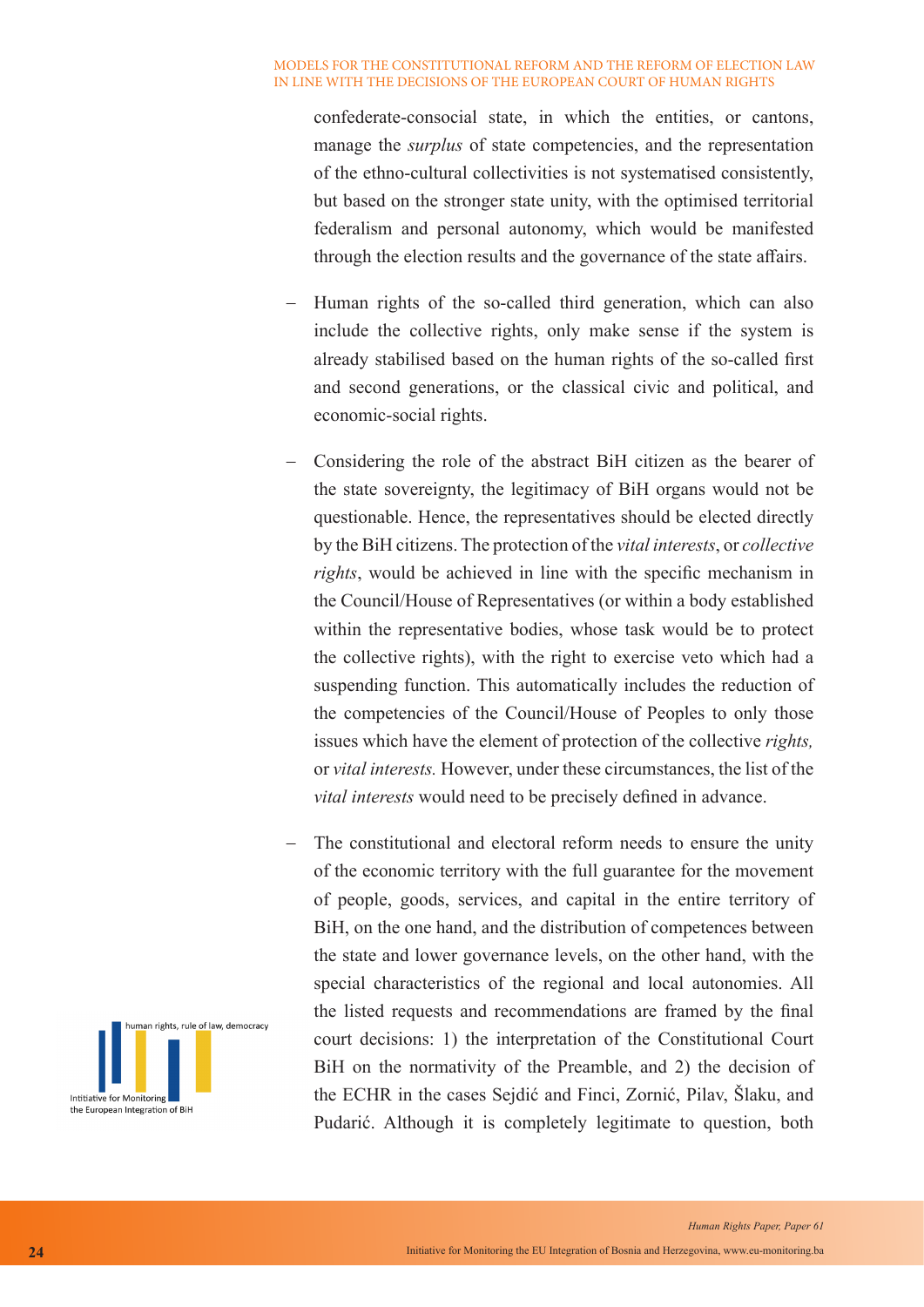confederate-consocial state, in which the entities, or cantons, manage the *surplus* of state competencies, and the representation of the ethno-cultural collectivities is not systematised consistently, but based on the stronger state unity, with the optimised territorial federalism and personal autonomy, which would be manifested through the election results and the governance of the state affairs.

- − Human rights of the so-called third generation, which can also include the collective rights, only make sense if the system is already stabilised based on the human rights of the so-called first and second generations, or the classical civic and political, and economic-social rights.
- Considering the role of the abstract BiH citizen as the bearer of the state sovereignty, the legitimacy of BiH organs would not be questionable. Hence, the representatives should be elected directly by the BiH citizens. The protection of the *vital interests*, or *collective rights*, would be achieved in line with the specific mechanism in the Council/House of Representatives (or within a body established within the representative bodies, whose task would be to protect the collective rights), with the right to exercise veto which had a suspending function. This automatically includes the reduction of the competencies of the Council/House of Peoples to only those issues which have the element of protection of the collective *rights,* or *vital interests.* However, under these circumstances, the list of the *vital interests* would need to be precisely defined in advance.
- The constitutional and electoral reform needs to ensure the unity of the economic territory with the full guarantee for the movement of people, goods, services, and capital in the entire territory of BiH, on the one hand, and the distribution of competences between the state and lower governance levels, on the other hand, with the special characteristics of the regional and local autonomies. All the listed requests and recommendations are framed by the final court decisions: 1) the interpretation of the Constitutional Court BiH on the normativity of the Preamble, and 2) the decision of the ECHR in the cases Sejdić and Finci, Zornić, Pilav, Šlaku, and Pudarić. Although it is completely legitimate to question, both

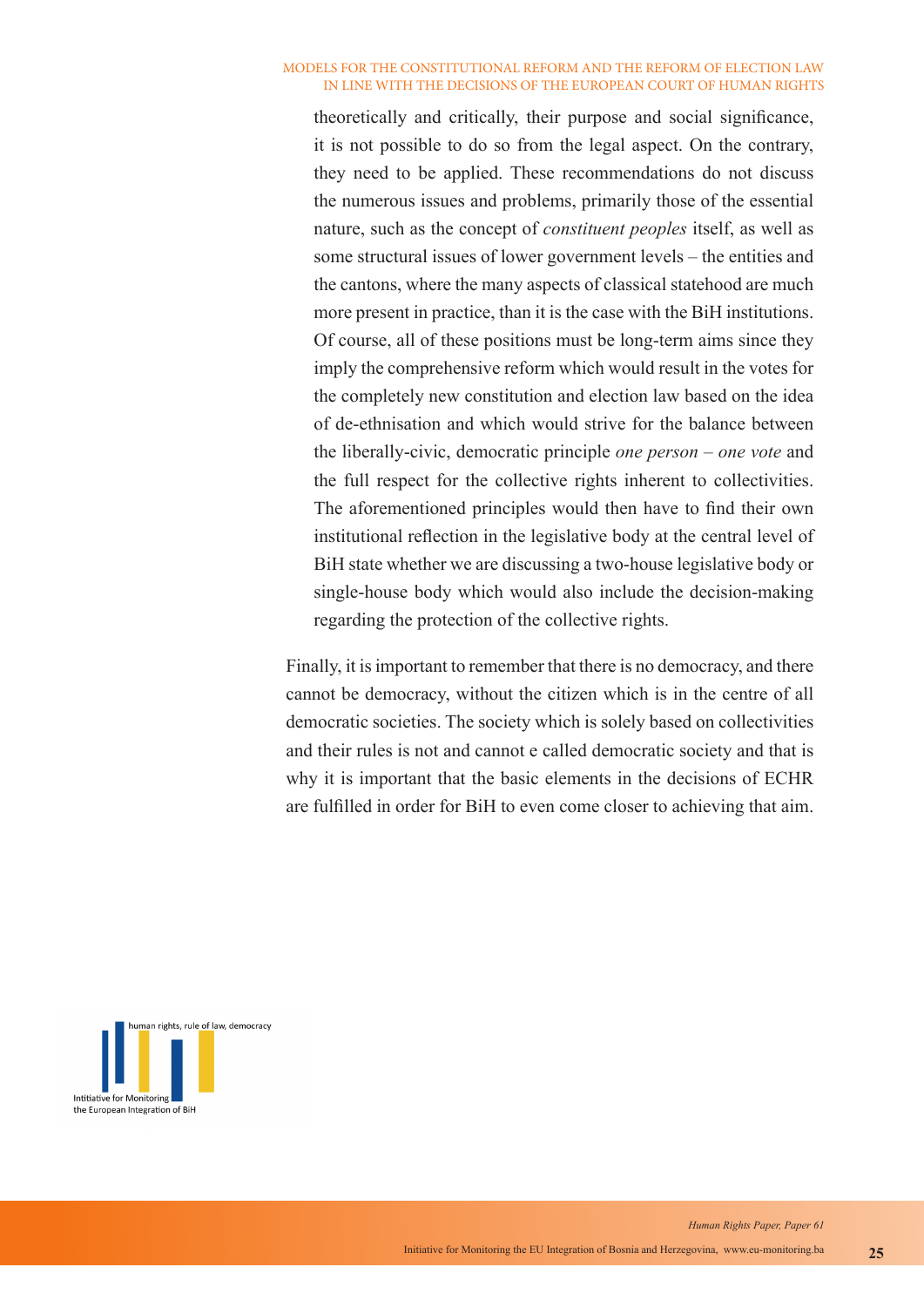theoretically and critically, their purpose and social significance, it is not possible to do so from the legal aspect. On the contrary, they need to be applied. These recommendations do not discuss the numerous issues and problems, primarily those of the essential nature, such as the concept of *constituent peoples* itself, as well as some structural issues of lower government levels – the entities and the cantons, where the many aspects of classical statehood are much more present in practice, than it is the case with the BiH institutions. Of course, all of these positions must be long-term aims since they imply the comprehensive reform which would result in the votes for the completely new constitution and election law based on the idea of de-ethnisation and which would strive for the balance between the liberally-civic, democratic principle *one person – one vote* and the full respect for the collective rights inherent to collectivities. The aforementioned principles would then have to find their own institutional reflection in the legislative body at the central level of BiH state whether we are discussing a two-house legislative body or single-house body which would also include the decision-making regarding the protection of the collective rights.

Finally, it is important to remember that there is no democracy, and there cannot be democracy, without the citizen which is in the centre of all democratic societies. The society which is solely based on collectivities and their rules is not and cannot e called democratic society and that is why it is important that the basic elements in the decisions of ECHR are fulfilled in order for BiH to even come closer to achieving that aim.

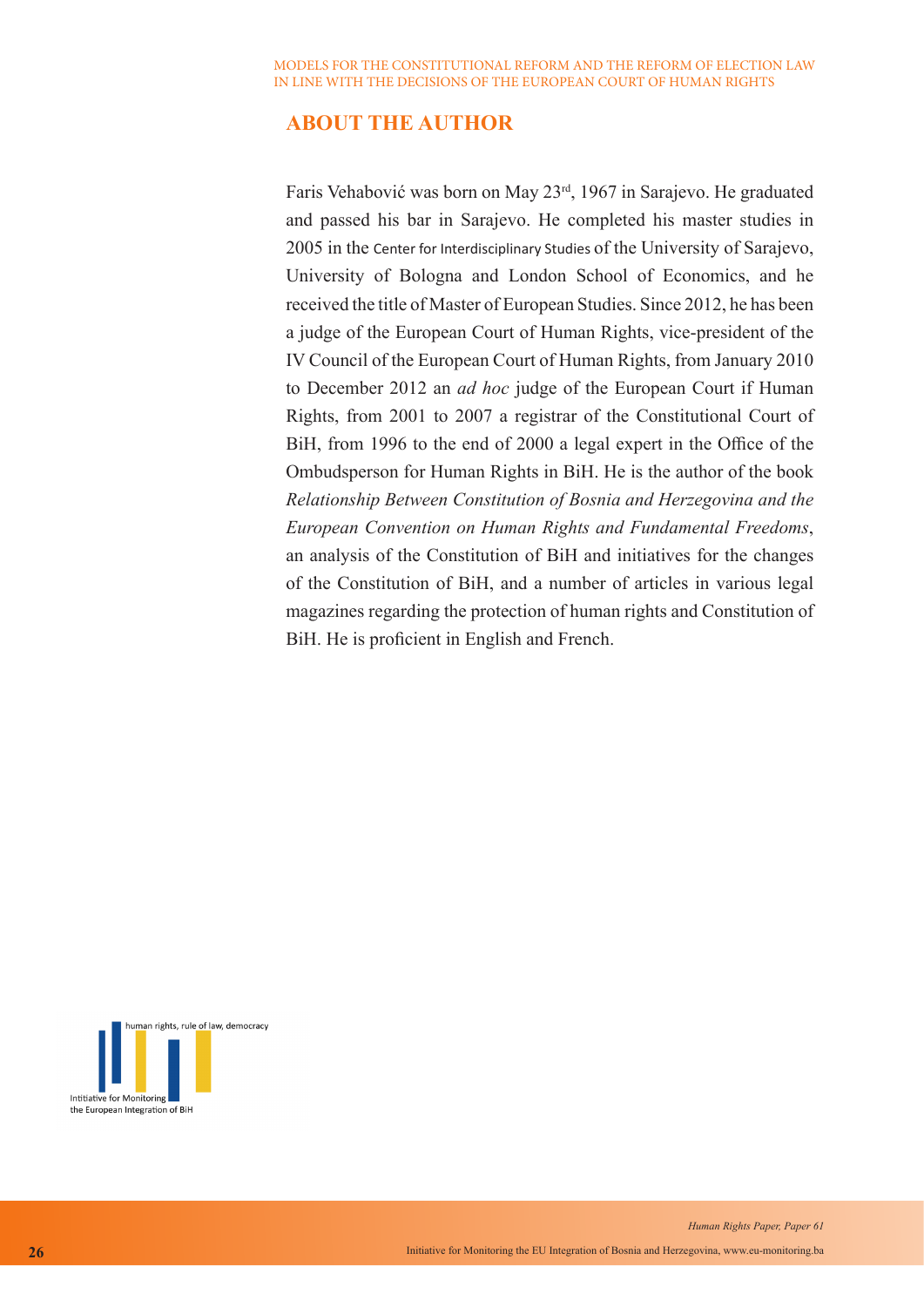# **ABOUT THE AUTHOR**

Faris Vehabović was born on May 23rd, 1967 in Sarajevo. He graduated and passed his bar in Sarajevo. He completed his master studies in 2005 in the Center for Interdisciplinary Studies of the University of Sarajevo, University of Bologna and London School of Economics, and he received the title of Master of European Studies. Since 2012, he has been a judge of the European Court of Human Rights, vice-president of the IV Council of the European Court of Human Rights, from January 2010 to December 2012 an *ad hoc* judge of the European Court if Human Rights, from 2001 to 2007 a registrar of the Constitutional Court of BiH, from 1996 to the end of 2000 a legal expert in the Office of the Ombudsperson for Human Rights in BiH. He is the author of the book *Relationship Between Constitution of Bosnia and Herzegovina and the European Convention on Human Rights and Fundamental Freedoms*, an analysis of the Constitution of BiH and initiatives for the changes of the Constitution of BiH, and a number of articles in various legal magazines regarding the protection of human rights and Constitution of BiH. He is proficient in English and French.

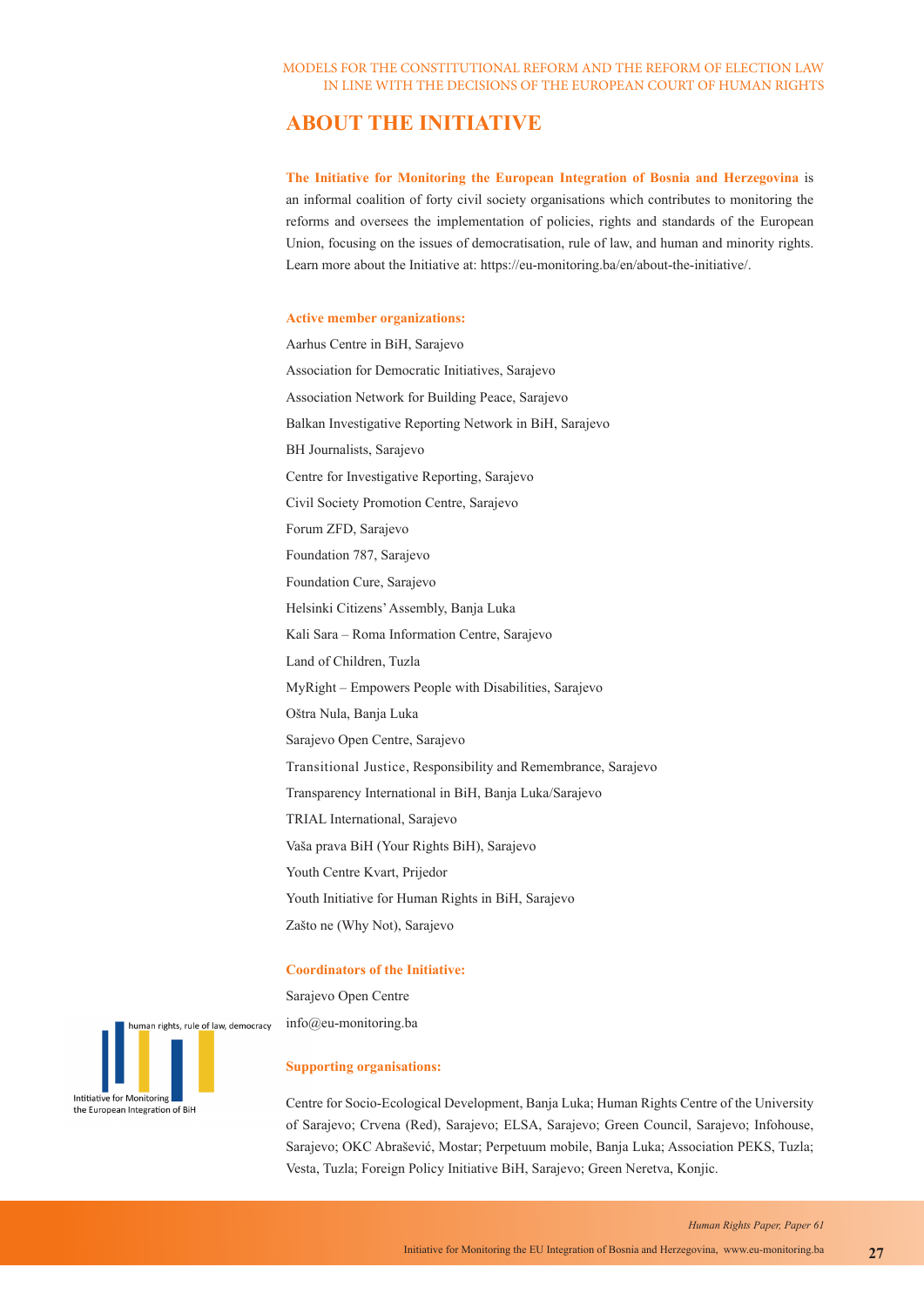# **ABOUT THE INITIATIVE**

**The Initiative for Monitoring the European Integration of Bosnia and Herzegovina** is an informal coalition of forty civil society organisations which contributes to monitoring the reforms and oversees the implementation of policies, rights and standards of the European Union, focusing on the issues of democratisation, rule of law, and human and minority rights. Learn more about the Initiative at: https://eu-monitoring.ba/en/about-the-initiative/.

#### **Active member organizations:**

Aarhus Centre in BiH, Sarajevo Association for Democratic Initiatives, Sarajevo Association Network for Building Peace, Sarajevo Balkan Investigative Reporting Network in BiH, Sarajevo BH Journalists, Sarajevo Centre for Investigative Reporting, Sarajevo Civil Society Promotion Centre, Sarajevo Forum ZFD, Sarajevo Foundation 787, Sarajevo Foundation Cure, Sarajevo Helsinki Citizens' Assembly, Banja Luka Kali Sara – Roma Information Centre, Sarajevo Land of Children, Tuzla MyRight – Empowers People with Disabilities, Sarajevo Oštra Nula, Banja Luka Sarajevo Open Centre, Sarajevo Transitional Justice, Responsibility and Remembrance, Sarajevo Transparency International in BiH, Banja Luka/Sarajevo TRIAL International, Sarajevo Vaša prava BiH (Your Rights BiH), Sarajevo Youth Centre Kvart, Prijedor Youth Initiative for Human Rights in BiH, Sarajevo Zašto ne (Why Not), Sarajevo

#### **Coordinators of the Initiative:**

Sarajevo Open Centre info@eu-monitoring.ba

#### **Supporting organisations:**

Centre for Socio-Ecological Development, Banja Luka; Human Rights Centre of the University of Sarajevo; Crvena (Red), Sarajevo; ELSA, Sarajevo; Green Council, Sarajevo; Infohouse, Sarajevo; OKC Abrašević, Mostar; Perpetuum mobile, Banja Luka; Association PEKS, Tuzla; Vesta, Tuzla; Foreign Policy Initiative BiH, Sarajevo; Green Neretva, Konjic.